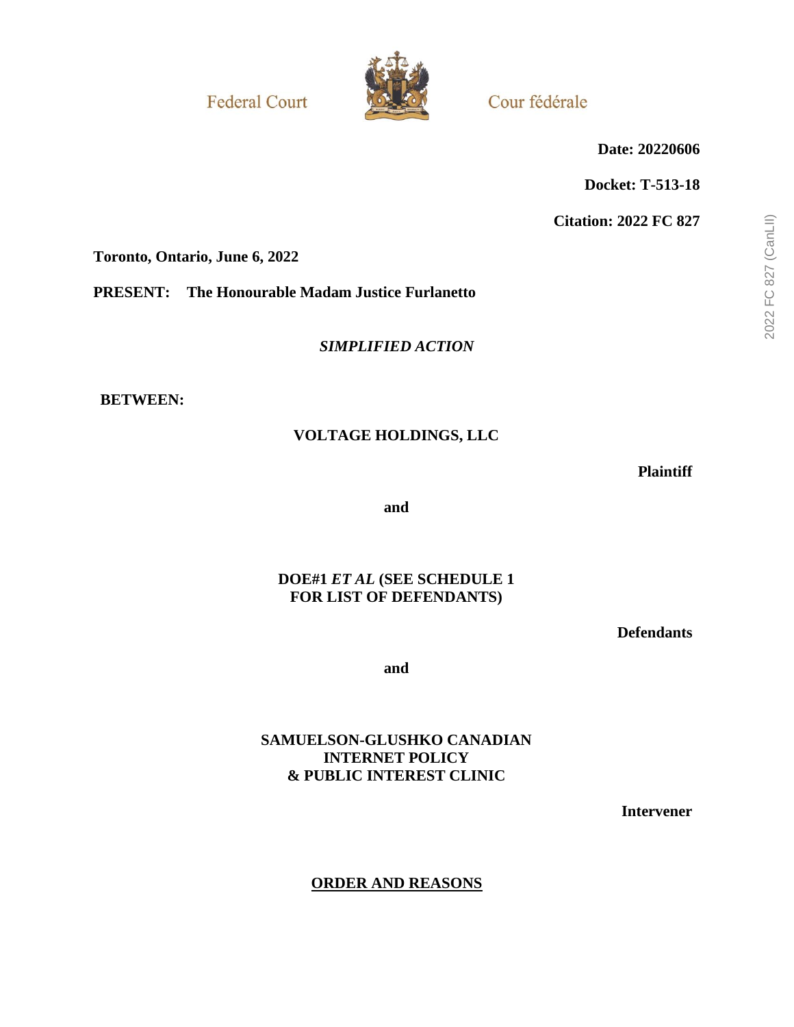**Federal Court** 



Cour fédérale

**Date: 20220606**

**Docket: T-513-18**

**Citation: 2022 FC 827**

**Toronto, Ontario, June 6, 2022**

**PRESENT: The Honourable Madam Justice Furlanetto**

*SIMPLIFIED ACTION*

**BETWEEN:**

# **VOLTAGE HOLDINGS, LLC**

**Plaintiff**

**and**

## **DOE#1** *ET AL* **(SEE SCHEDULE 1 FOR LIST OF DEFENDANTS)**

**Defendants**

**and**

## **SAMUELSON-GLUSHKO CANADIAN INTERNET POLICY & PUBLIC INTEREST CLINIC**

**Intervener**

## **ORDER AND REASONS**

2022 FC 827 (CanLII) 2022 FC 827 (CanLII)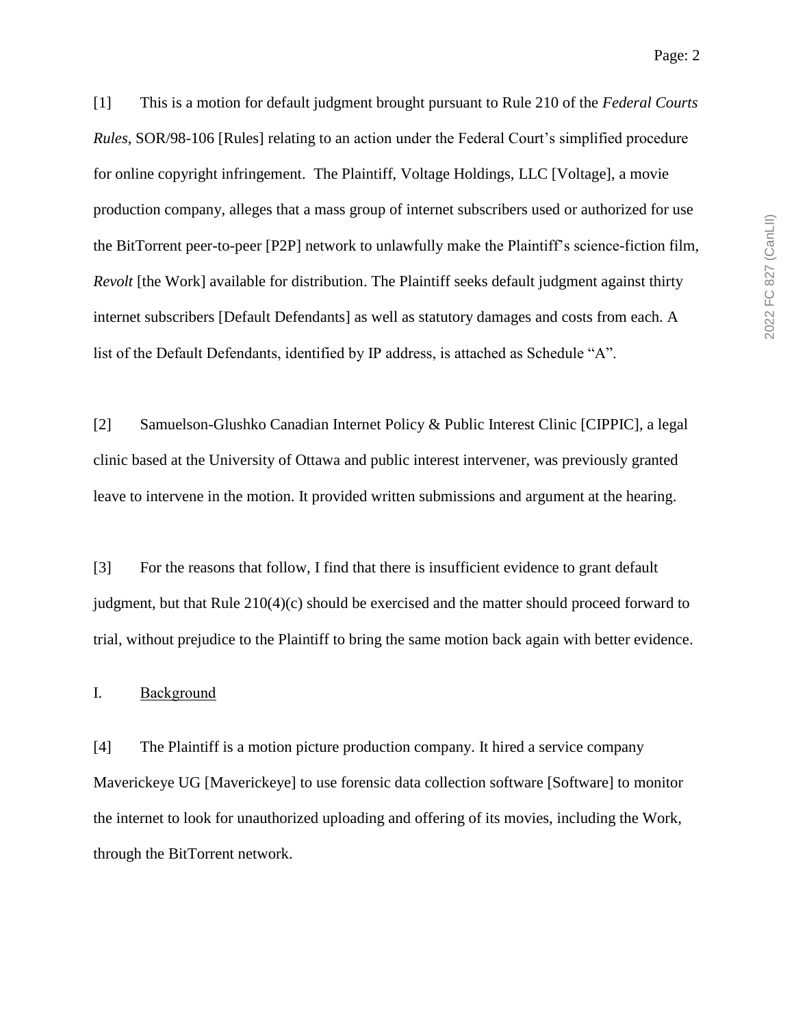[1] This is a motion for default judgment brought pursuant to Rule 210 of the *Federal Courts Rules*, SOR/98-106 [Rules] relating to an action under the Federal Court's simplified procedure for online copyright infringement. The Plaintiff, Voltage Holdings, LLC [Voltage], a movie production company, alleges that a mass group of internet subscribers used or authorized for use the BitTorrent peer-to-peer [P2P] network to unlawfully make the Plaintiff's science-fiction film, *Revolt* [the Work] available for distribution. The Plaintiff seeks default judgment against thirty internet subscribers [Default Defendants] as well as statutory damages and costs from each. A list of the Default Defendants, identified by IP address, is attached as Schedule "A".

[2] Samuelson-Glushko Canadian Internet Policy & Public Interest Clinic [CIPPIC], a legal clinic based at the University of Ottawa and public interest intervener, was previously granted leave to intervene in the motion. It provided written submissions and argument at the hearing.

[3] For the reasons that follow, I find that there is insufficient evidence to grant default judgment, but that Rule 210(4)(c) should be exercised and the matter should proceed forward to trial, without prejudice to the Plaintiff to bring the same motion back again with better evidence.

#### I. Background

[4] The Plaintiff is a motion picture production company. It hired a service company Maverickeye UG [Maverickeye] to use forensic data collection software [Software] to monitor the internet to look for unauthorized uploading and offering of its movies, including the Work, through the BitTorrent network.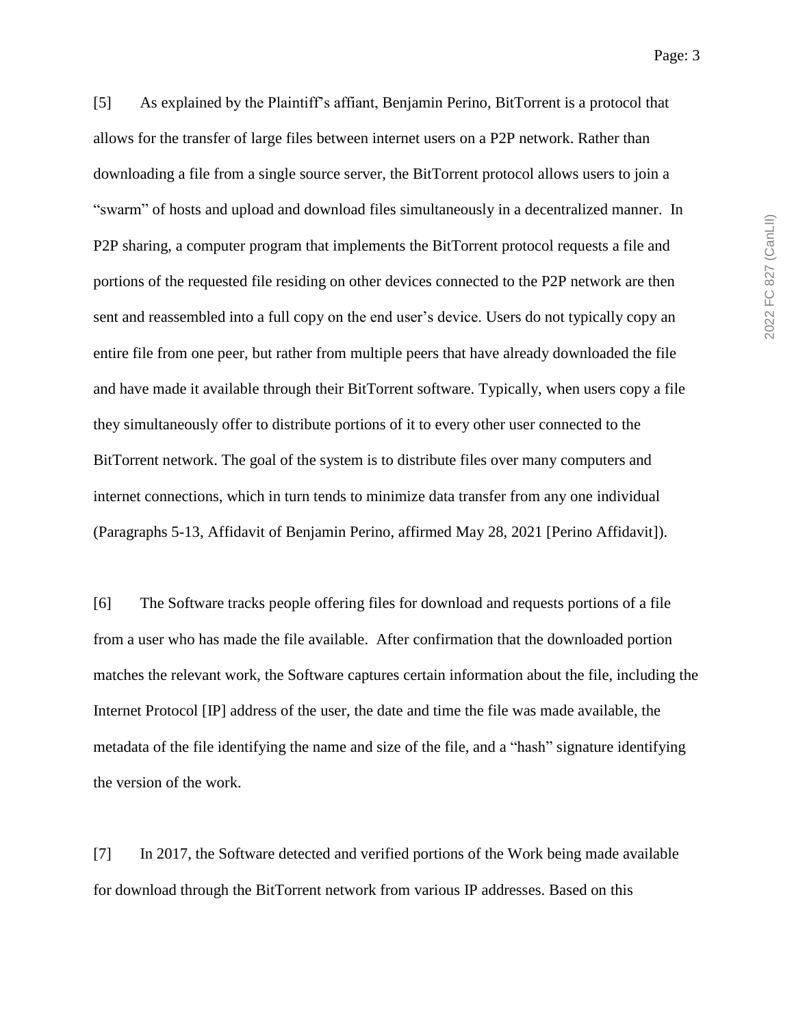[5] As explained by the Plaintiff's affiant, Benjamin Perino, BitTorrent is a protocol that allows for the transfer of large files between internet users on a P2P network. Rather than downloading a file from a single source server, the BitTorrent protocol allows users to join a "swarm" of hosts and upload and download files simultaneously in a decentralized manner. In P2P sharing, a computer program that implements the BitTorrent protocol requests a file and portions of the requested file residing on other devices connected to the P2P network are then sent and reassembled into a full copy on the end user's device. Users do not typically copy an entire file from one peer, but rather from multiple peers that have already downloaded the file and have made it available through their BitTorrent software. Typically, when users copy a file they simultaneously offer to distribute portions of it to every other user connected to the BitTorrent network. The goal of the system is to distribute files over many computers and internet connections, which in turn tends to minimize data transfer from any one individual (Paragraphs 5-13, Affidavit of Benjamin Perino, affirmed May 28, 2021 [Perino Affidavit]).

[6] The Software tracks people offering files for download and requests portions of a file from a user who has made the file available. After confirmation that the downloaded portion matches the relevant work, the Software captures certain information about the file, including the Internet Protocol [IP] address of the user, the date and time the file was made available, the metadata of the file identifying the name and size of the file, and a "hash" signature identifying the version of the work.

[7] In 2017, the Software detected and verified portions of the Work being made available for download through the BitTorrent network from various IP addresses. Based on this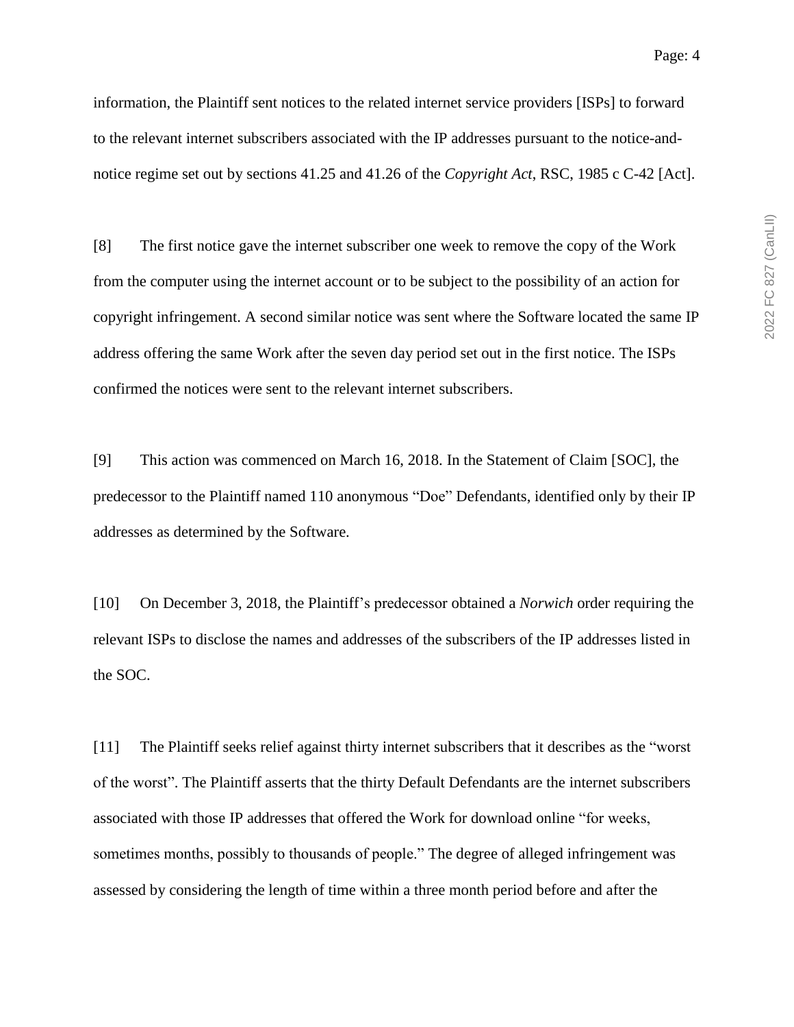information, the Plaintiff sent notices to the related internet service providers [ISPs] to forward to the relevant internet subscribers associated with the IP addresses pursuant to the notice-andnotice regime set out by sections 41.25 and 41.26 of the *Copyright Act*, RSC, 1985 c C-42 [Act].

[8] The first notice gave the internet subscriber one week to remove the copy of the Work from the computer using the internet account or to be subject to the possibility of an action for copyright infringement. A second similar notice was sent where the Software located the same IP address offering the same Work after the seven day period set out in the first notice. The ISPs confirmed the notices were sent to the relevant internet subscribers.

[9] This action was commenced on March 16, 2018. In the Statement of Claim [SOC], the predecessor to the Plaintiff named 110 anonymous "Doe" Defendants, identified only by their IP addresses as determined by the Software.

[10] On December 3, 2018, the Plaintiff's predecessor obtained a *Norwich* order requiring the relevant ISPs to disclose the names and addresses of the subscribers of the IP addresses listed in the SOC.

[11] The Plaintiff seeks relief against thirty internet subscribers that it describes as the "worst of the worst". The Plaintiff asserts that the thirty Default Defendants are the internet subscribers associated with those IP addresses that offered the Work for download online "for weeks, sometimes months, possibly to thousands of people." The degree of alleged infringement was assessed by considering the length of time within a three month period before and after the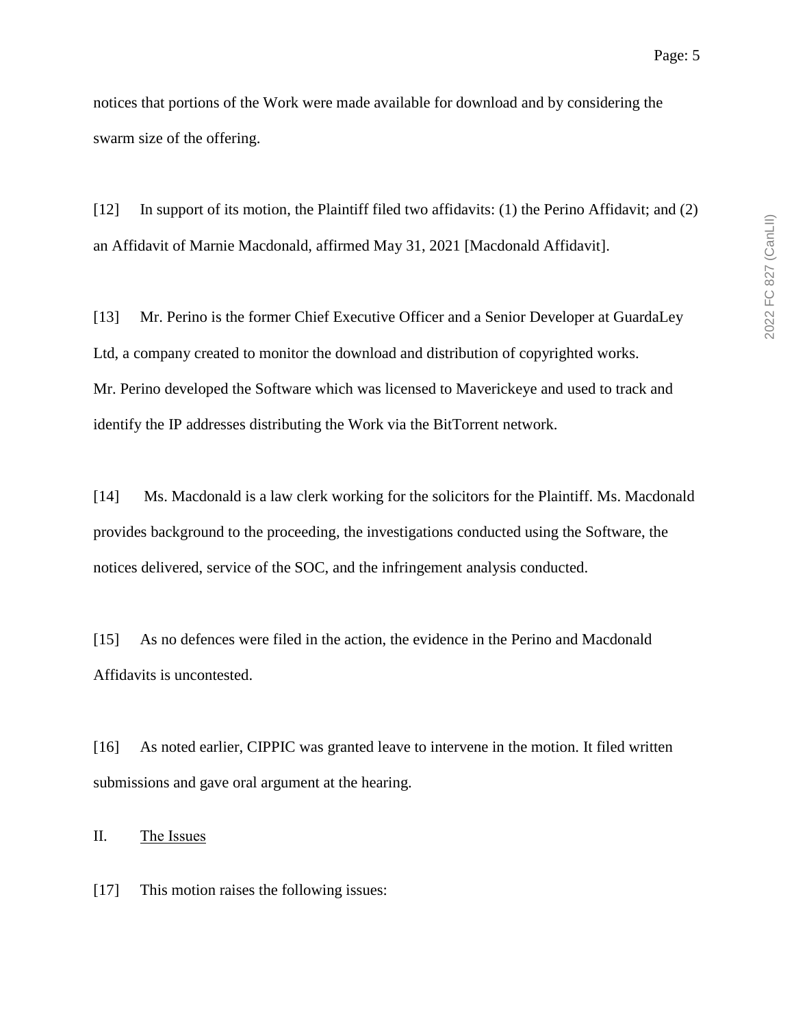notices that portions of the Work were made available for download and by considering the swarm size of the offering.

[12] In support of its motion, the Plaintiff filed two affidavits: (1) the Perino Affidavit; and (2) an Affidavit of Marnie Macdonald, affirmed May 31, 2021 [Macdonald Affidavit].

[13] Mr. Perino is the former Chief Executive Officer and a Senior Developer at GuardaLey Ltd, a company created to monitor the download and distribution of copyrighted works. Mr. Perino developed the Software which was licensed to Maverickeye and used to track and identify the IP addresses distributing the Work via the BitTorrent network.

[14] Ms. Macdonald is a law clerk working for the solicitors for the Plaintiff. Ms. Macdonald provides background to the proceeding, the investigations conducted using the Software, the notices delivered, service of the SOC, and the infringement analysis conducted.

[15] As no defences were filed in the action, the evidence in the Perino and Macdonald Affidavits is uncontested.

[16] As noted earlier, CIPPIC was granted leave to intervene in the motion. It filed written submissions and gave oral argument at the hearing.

II. The Issues

[17] This motion raises the following issues: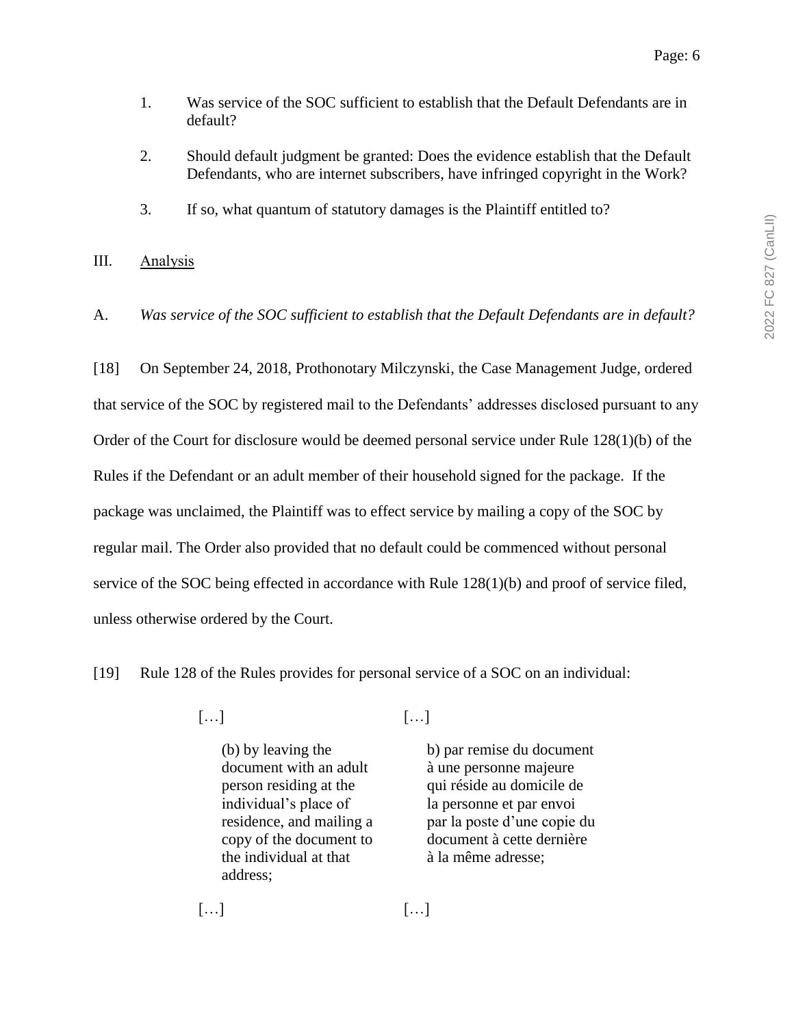- 1. Was service of the SOC sufficient to establish that the Default Defendants are in default?
- 2. Should default judgment be granted: Does the evidence establish that the Default Defendants, who are internet subscribers, have infringed copyright in the Work?
- 3. If so, what quantum of statutory damages is the Plaintiff entitled to?
- III. Analysis
- A. *Was service of the SOC sufficient to establish that the Default Defendants are in default?*

[18] On September 24, 2018, Prothonotary Milczynski, the Case Management Judge, ordered that service of the SOC by registered mail to the Defendants' addresses disclosed pursuant to any Order of the Court for disclosure would be deemed personal service under Rule 128(1)(b) of the Rules if the Defendant or an adult member of their household signed for the package. If the package was unclaimed, the Plaintiff was to effect service by mailing a copy of the SOC by regular mail. The Order also provided that no default could be commenced without personal service of the SOC being effected in accordance with Rule 128(1)(b) and proof of service filed, unless otherwise ordered by the Court.

[19] Rule 128 of the Rules provides for personal service of a SOC on an individual:

- 
- $\lbrack ... \rbrack$  […]

(b) by leaving the document with an adult person residing at the individual's place of residence, and mailing a copy of the document to the individual at that address;

b) par remise du document à une personne majeure qui réside au domicile de la personne et par envoi par la poste d'une copie du document à cette dernière à la même adresse;

 $\lbrack ... \rbrack$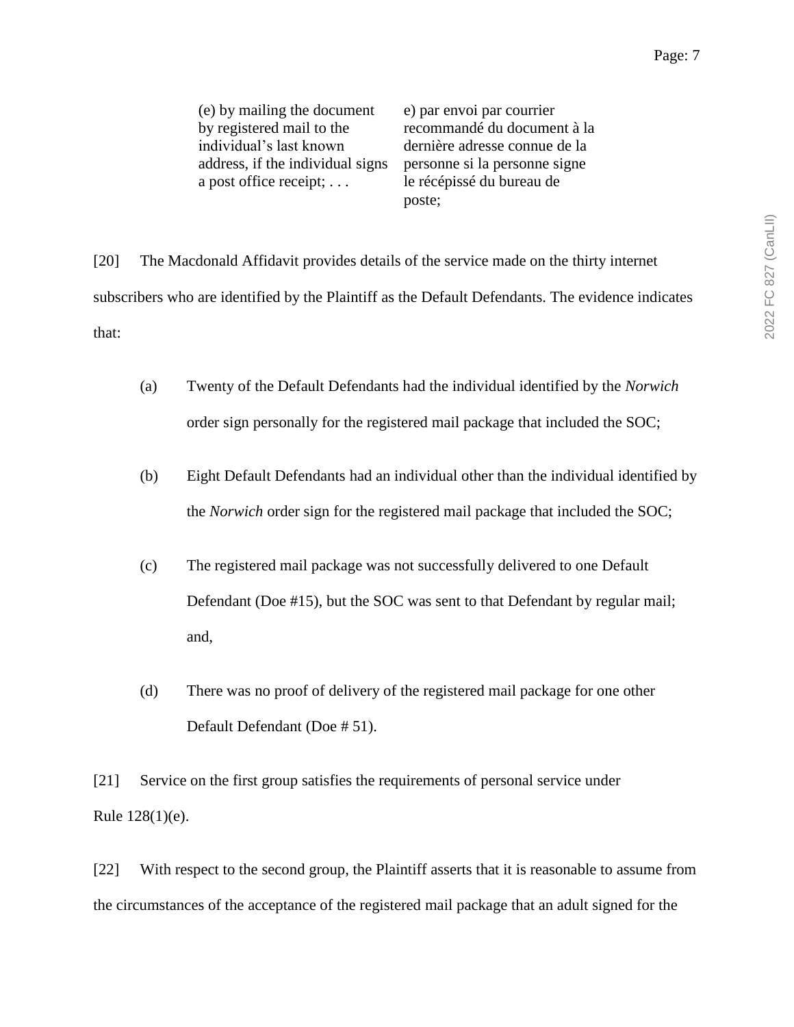| (e) by mailing the document      | e) par envoi par courrier     |
|----------------------------------|-------------------------------|
| by registered mail to the        | recommandé du document à la   |
| individual's last known          | dernière adresse connue de la |
| address, if the individual signs | personne si la personne signe |
| a post office receipt; $\dots$   | le récépissé du bureau de     |
|                                  | poste;                        |

[20] The Macdonald Affidavit provides details of the service made on the thirty internet subscribers who are identified by the Plaintiff as the Default Defendants. The evidence indicates that:

- (a) Twenty of the Default Defendants had the individual identified by the *Norwich* order sign personally for the registered mail package that included the SOC;
- (b) Eight Default Defendants had an individual other than the individual identified by the *Norwich* order sign for the registered mail package that included the SOC;
- (c) The registered mail package was not successfully delivered to one Default Defendant (Doe #15), but the SOC was sent to that Defendant by regular mail; and,
- (d) There was no proof of delivery of the registered mail package for one other Default Defendant (Doe # 51).

[21] Service on the first group satisfies the requirements of personal service under Rule 128(1)(e).

[22] With respect to the second group, the Plaintiff asserts that it is reasonable to assume from the circumstances of the acceptance of the registered mail package that an adult signed for the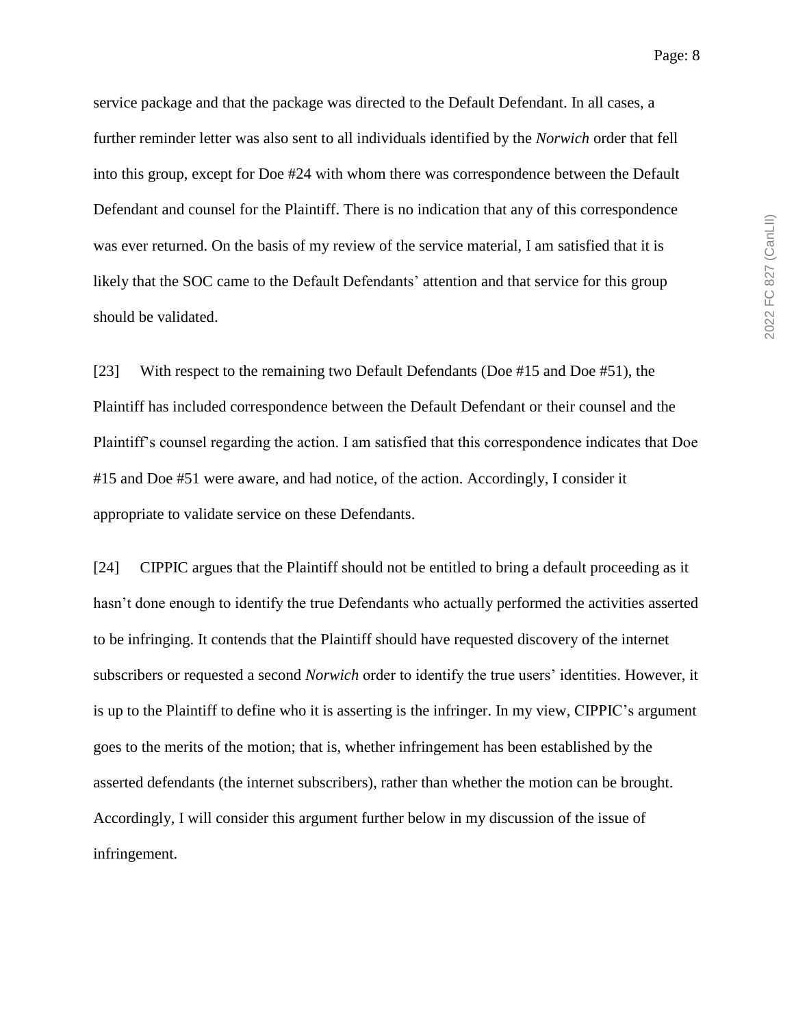service package and that the package was directed to the Default Defendant. In all cases, a further reminder letter was also sent to all individuals identified by the *Norwich* order that fell into this group, except for Doe #24 with whom there was correspondence between the Default Defendant and counsel for the Plaintiff. There is no indication that any of this correspondence was ever returned. On the basis of my review of the service material, I am satisfied that it is likely that the SOC came to the Default Defendants' attention and that service for this group should be validated.

[23] With respect to the remaining two Default Defendants (Doe #15 and Doe #51), the Plaintiff has included correspondence between the Default Defendant or their counsel and the Plaintiff's counsel regarding the action. I am satisfied that this correspondence indicates that Doe #15 and Doe #51 were aware, and had notice, of the action. Accordingly, I consider it appropriate to validate service on these Defendants.

[24] CIPPIC argues that the Plaintiff should not be entitled to bring a default proceeding as it hasn't done enough to identify the true Defendants who actually performed the activities asserted to be infringing. It contends that the Plaintiff should have requested discovery of the internet subscribers or requested a second *Norwich* order to identify the true users' identities. However, it is up to the Plaintiff to define who it is asserting is the infringer. In my view, CIPPIC's argument goes to the merits of the motion; that is, whether infringement has been established by the asserted defendants (the internet subscribers), rather than whether the motion can be brought. Accordingly, I will consider this argument further below in my discussion of the issue of infringement.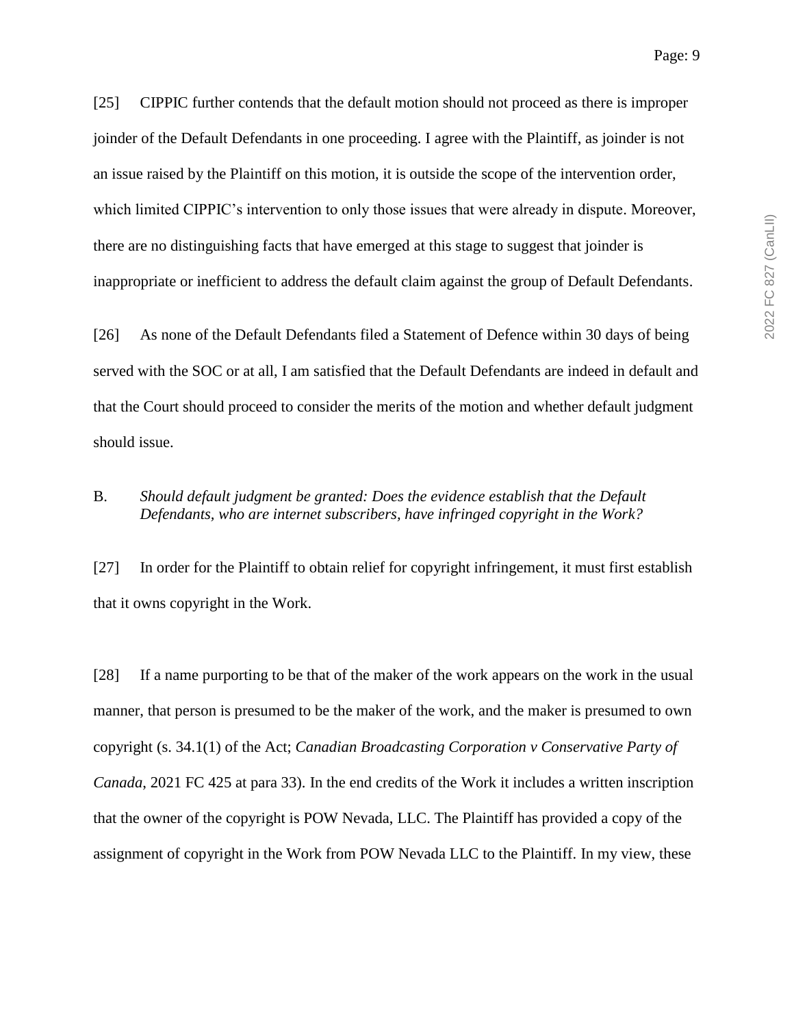[25] CIPPIC further contends that the default motion should not proceed as there is improper joinder of the Default Defendants in one proceeding. I agree with the Plaintiff, as joinder is not an issue raised by the Plaintiff on this motion, it is outside the scope of the intervention order, which limited CIPPIC's intervention to only those issues that were already in dispute. Moreover, there are no distinguishing facts that have emerged at this stage to suggest that joinder is inappropriate or inefficient to address the default claim against the group of Default Defendants.

[26] As none of the Default Defendants filed a Statement of Defence within 30 days of being served with the SOC or at all, I am satisfied that the Default Defendants are indeed in default and that the Court should proceed to consider the merits of the motion and whether default judgment should issue.

### B. *Should default judgment be granted: Does the evidence establish that the Default Defendants, who are internet subscribers, have infringed copyright in the Work?*

[27] In order for the Plaintiff to obtain relief for copyright infringement, it must first establish that it owns copyright in the Work.

[28] If a name purporting to be that of the maker of the work appears on the work in the usual manner, that person is presumed to be the maker of the work, and the maker is presumed to own copyright (s. 34.1(1) of the Act; *Canadian Broadcasting Corporation v Conservative Party of Canada*, 2021 FC 425 at para 33). In the end credits of the Work it includes a written inscription that the owner of the copyright is POW Nevada, LLC. The Plaintiff has provided a copy of the assignment of copyright in the Work from POW Nevada LLC to the Plaintiff. In my view, these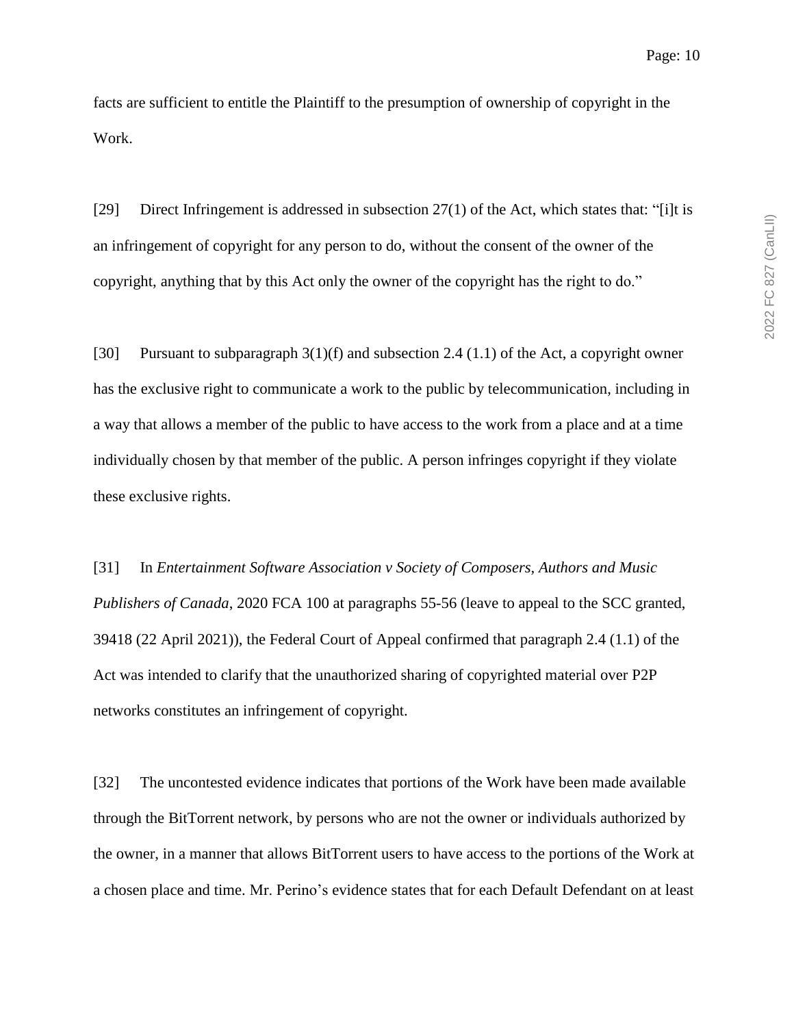facts are sufficient to entitle the Plaintiff to the presumption of ownership of copyright in the Work.

[29] Direct Infringement is addressed in subsection 27(1) of the Act, which states that: "[i]t is an infringement of copyright for any person to do, without the consent of the owner of the copyright, anything that by this Act only the owner of the copyright has the right to do."

[30] Pursuant to subparagraph  $3(1)(f)$  and subsection 2.4 (1.1) of the Act, a copyright owner has the exclusive right to communicate a work to the public by telecommunication, including in a way that allows a member of the public to have access to the work from a place and at a time individually chosen by that member of the public. A person infringes copyright if they violate these exclusive rights.

[31] In *Entertainment Software Association v Society of Composers, Authors and Music Publishers of Canada*, 2020 FCA 100 at paragraphs 55-56 (leave to appeal to the SCC granted, 39418 (22 April 2021)), the Federal Court of Appeal confirmed that paragraph 2.4 (1.1) of the Act was intended to clarify that the unauthorized sharing of copyrighted material over P2P networks constitutes an infringement of copyright.

[32] The uncontested evidence indicates that portions of the Work have been made available through the BitTorrent network, by persons who are not the owner or individuals authorized by the owner, in a manner that allows BitTorrent users to have access to the portions of the Work at a chosen place and time. Mr. Perino's evidence states that for each Default Defendant on at least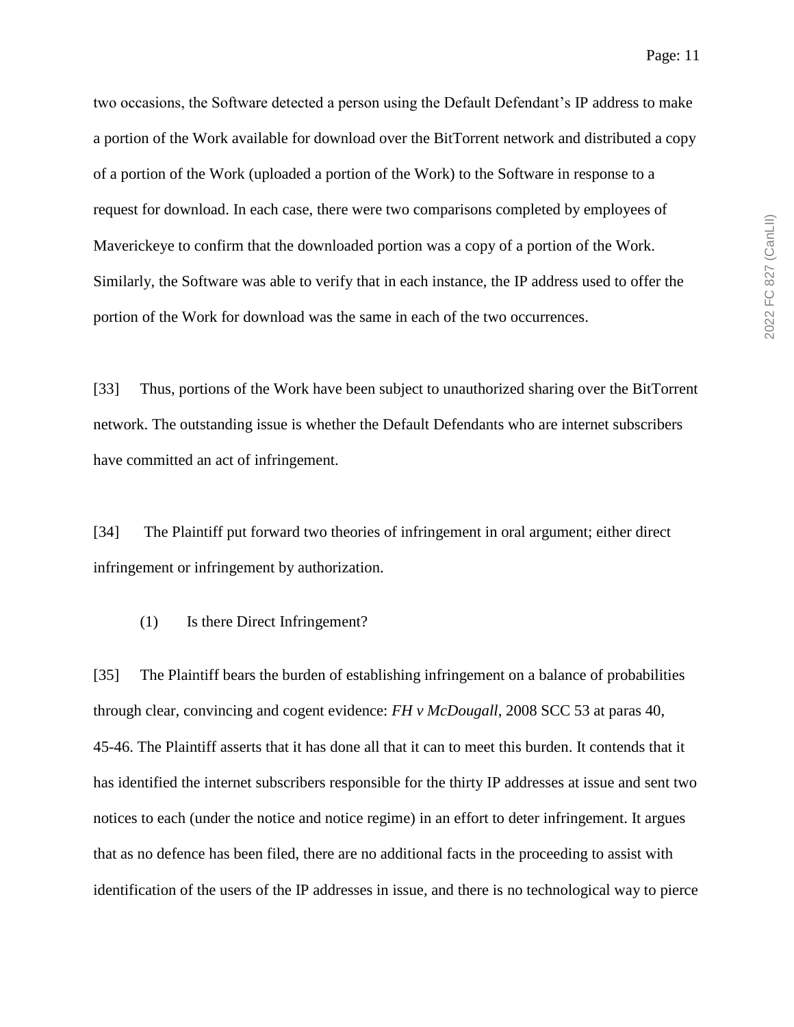two occasions, the Software detected a person using the Default Defendant's IP address to make a portion of the Work available for download over the BitTorrent network and distributed a copy of a portion of the Work (uploaded a portion of the Work) to the Software in response to a request for download. In each case, there were two comparisons completed by employees of Maverickeye to confirm that the downloaded portion was a copy of a portion of the Work. Similarly, the Software was able to verify that in each instance, the IP address used to offer the portion of the Work for download was the same in each of the two occurrences.

[33] Thus, portions of the Work have been subject to unauthorized sharing over the BitTorrent network. The outstanding issue is whether the Default Defendants who are internet subscribers have committed an act of infringement.

[34] The Plaintiff put forward two theories of infringement in oral argument; either direct infringement or infringement by authorization.

(1) Is there Direct Infringement?

[35] The Plaintiff bears the burden of establishing infringement on a balance of probabilities through clear, convincing and cogent evidence: *FH v McDougall*, 2008 SCC 53 at paras 40, 45-46. The Plaintiff asserts that it has done all that it can to meet this burden. It contends that it has identified the internet subscribers responsible for the thirty IP addresses at issue and sent two notices to each (under the notice and notice regime) in an effort to deter infringement. It argues that as no defence has been filed, there are no additional facts in the proceeding to assist with identification of the users of the IP addresses in issue, and there is no technological way to pierce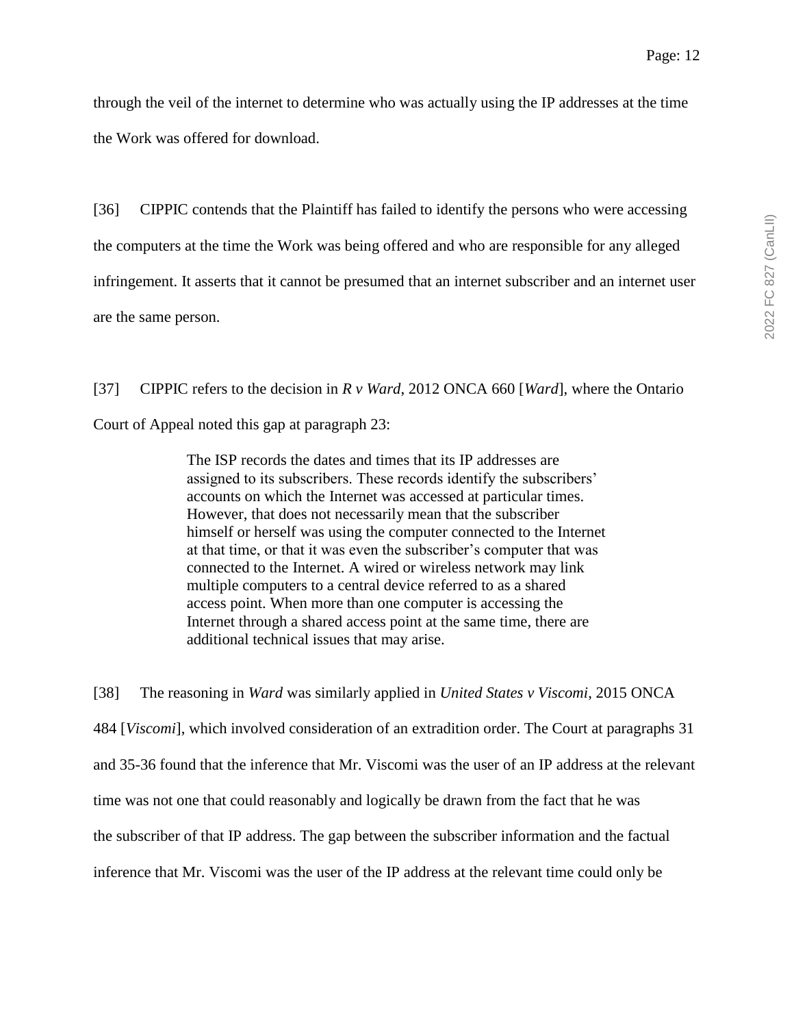through the veil of the internet to determine who was actually using the IP addresses at the time the Work was offered for download.

[36] CIPPIC contends that the Plaintiff has failed to identify the persons who were accessing the computers at the time the Work was being offered and who are responsible for any alleged infringement. It asserts that it cannot be presumed that an internet subscriber and an internet user are the same person.

[37] CIPPIC refers to the decision in *R v Ward*, 2012 ONCA 660 [*Ward*], where the Ontario Court of Appeal noted this gap at paragraph 23:

> The ISP records the dates and times that its IP addresses are assigned to its subscribers. These records identify the subscribers' accounts on which the Internet was accessed at particular times. However, that does not necessarily mean that the subscriber himself or herself was using the computer connected to the Internet at that time, or that it was even the subscriber's computer that was connected to the Internet. A wired or wireless network may link multiple computers to a central device referred to as a shared access point. When more than one computer is accessing the Internet through a shared access point at the same time, there are additional technical issues that may arise.

[38] The reasoning in *Ward* was similarly applied in *United States v Viscomi*, 2015 ONCA 484 [*Viscomi*], which involved consideration of an extradition order. The Court at paragraphs 31 and 35-36 found that the inference that Mr. Viscomi was the user of an IP address at the relevant time was not one that could reasonably and logically be drawn from the fact that he was the subscriber of that IP address. The gap between the subscriber information and the factual inference that Mr. Viscomi was the user of the IP address at the relevant time could only be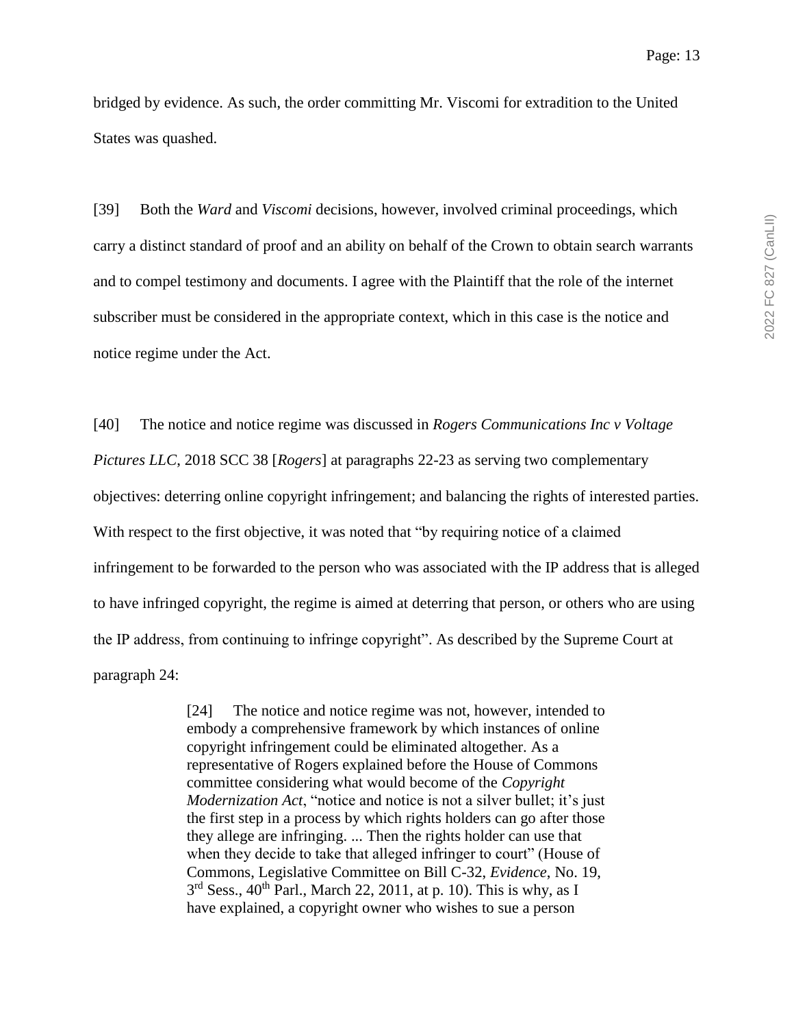bridged by evidence. As such, the order committing Mr. Viscomi for extradition to the United States was quashed.

[39] Both the *Ward* and *Viscomi* decisions, however, involved criminal proceedings, which carry a distinct standard of proof and an ability on behalf of the Crown to obtain search warrants and to compel testimony and documents. I agree with the Plaintiff that the role of the internet subscriber must be considered in the appropriate context, which in this case is the notice and notice regime under the Act.

[40] The notice and notice regime was discussed in *Rogers Communications Inc v Voltage Pictures LLC*, 2018 SCC 38 [*Rogers*] at paragraphs 22-23 as serving two complementary objectives: deterring online copyright infringement; and balancing the rights of interested parties. With respect to the first objective, it was noted that "by requiring notice of a claimed infringement to be forwarded to the person who was associated with the IP address that is alleged to have infringed copyright, the regime is aimed at deterring that person, or others who are using the IP address, from continuing to infringe copyright". As described by the Supreme Court at paragraph 24:

> [24] The notice and notice regime was not, however, intended to embody a comprehensive framework by which instances of online copyright infringement could be eliminated altogether. As a representative of Rogers explained before the House of Commons committee considering what would become of the *Copyright Modernization Act*, "notice and notice is not a silver bullet; it's just the first step in a process by which rights holders can go after those they allege are infringing. ... Then the rights holder can use that when they decide to take that alleged infringer to court" (House of Commons, Legislative Committee on Bill C-32, *Evidence*, No. 19,  $3<sup>rd</sup>$  Sess., 40<sup>th</sup> Parl., March 22, 2011, at p. 10). This is why, as I have explained, a copyright owner who wishes to sue a person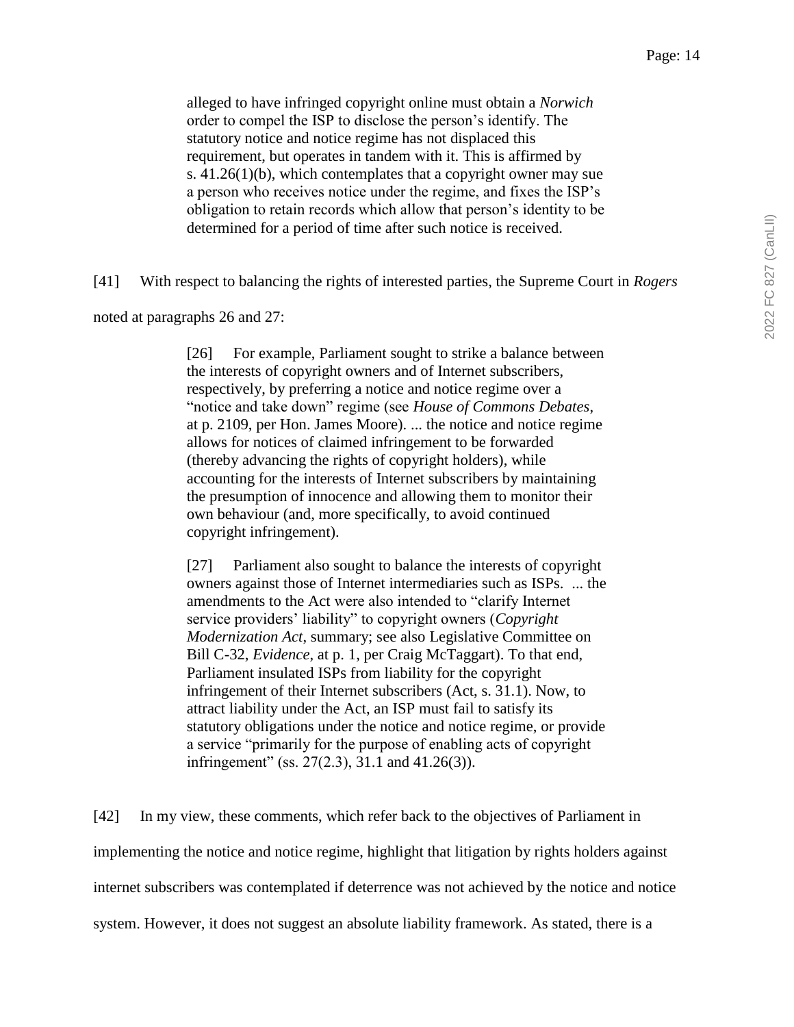alleged to have infringed copyright online must obtain a *Norwich* order to compel the ISP to disclose the person's identify. The statutory notice and notice regime has not displaced this requirement, but operates in tandem with it. This is affirmed by s. 41.26(1)(b), which contemplates that a copyright owner may sue a person who receives notice under the regime, and fixes the ISP's obligation to retain records which allow that person's identity to be determined for a period of time after such notice is received.

[41] With respect to balancing the rights of interested parties, the Supreme Court in *Rogers* 

noted at paragraphs 26 and 27:

[26] For example, Parliament sought to strike a balance between the interests of copyright owners and of Internet subscribers, respectively, by preferring a notice and notice regime over a "notice and take down" regime (see *House of Commons Debates*, at p. 2109, per Hon. James Moore). ... the notice and notice regime allows for notices of claimed infringement to be forwarded (thereby advancing the rights of copyright holders), while accounting for the interests of Internet subscribers by maintaining the presumption of innocence and allowing them to monitor their own behaviour (and, more specifically, to avoid continued copyright infringement).

[27] Parliament also sought to balance the interests of copyright owners against those of Internet intermediaries such as ISPs. ... the amendments to the Act were also intended to "clarify Internet service providers' liability" to copyright owners (*Copyright Modernization Act*, summary; see also Legislative Committee on Bill C-32, *Evidence*, at p. 1, per Craig McTaggart). To that end, Parliament insulated ISPs from liability for the copyright infringement of their Internet subscribers (Act, s. 31.1). Now, to attract liability under the Act, an ISP must fail to satisfy its statutory obligations under the notice and notice regime, or provide a service "primarily for the purpose of enabling acts of copyright infringement" (ss. 27(2.3), 31.1 and 41.26(3)).

[42] In my view, these comments, which refer back to the objectives of Parliament in implementing the notice and notice regime, highlight that litigation by rights holders against internet subscribers was contemplated if deterrence was not achieved by the notice and notice system. However, it does not suggest an absolute liability framework. As stated, there is a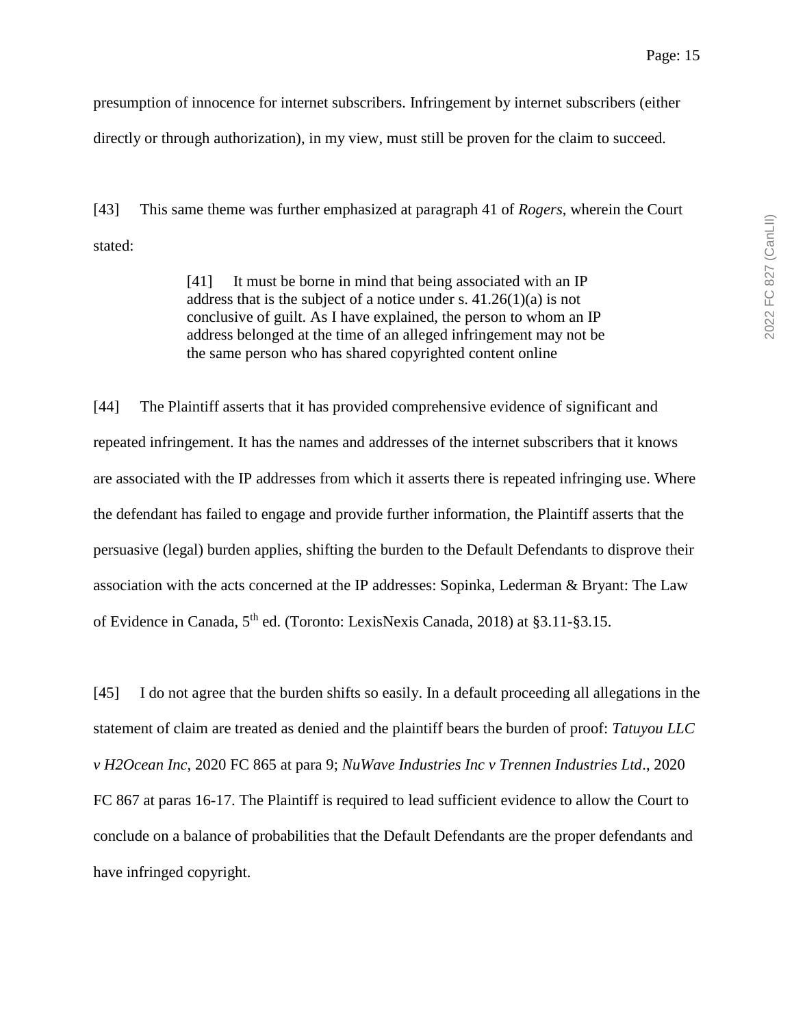presumption of innocence for internet subscribers. Infringement by internet subscribers (either directly or through authorization), in my view, must still be proven for the claim to succeed.

[43] This same theme was further emphasized at paragraph 41 of *Rogers*, wherein the Court stated:

> [41] It must be borne in mind that being associated with an IP address that is the subject of a notice under s.  $41.26(1)(a)$  is not conclusive of guilt. As I have explained, the person to whom an IP address belonged at the time of an alleged infringement may not be the same person who has shared copyrighted content online

[44] The Plaintiff asserts that it has provided comprehensive evidence of significant and repeated infringement. It has the names and addresses of the internet subscribers that it knows are associated with the IP addresses from which it asserts there is repeated infringing use. Where the defendant has failed to engage and provide further information, the Plaintiff asserts that the persuasive (legal) burden applies, shifting the burden to the Default Defendants to disprove their association with the acts concerned at the IP addresses: Sopinka, Lederman & Bryant: The Law of Evidence in Canada, 5th ed. (Toronto: LexisNexis Canada, 2018) at §3.11-§3.15.

[45] I do not agree that the burden shifts so easily. In a default proceeding all allegations in the statement of claim are treated as denied and the plaintiff bears the burden of proof: *Tatuyou LLC v H2Ocean Inc*, 2020 FC 865 at para 9; *NuWave Industries Inc v Trennen Industries Ltd*., 2020 FC 867 at paras 16-17. The Plaintiff is required to lead sufficient evidence to allow the Court to conclude on a balance of probabilities that the Default Defendants are the proper defendants and have infringed copyright.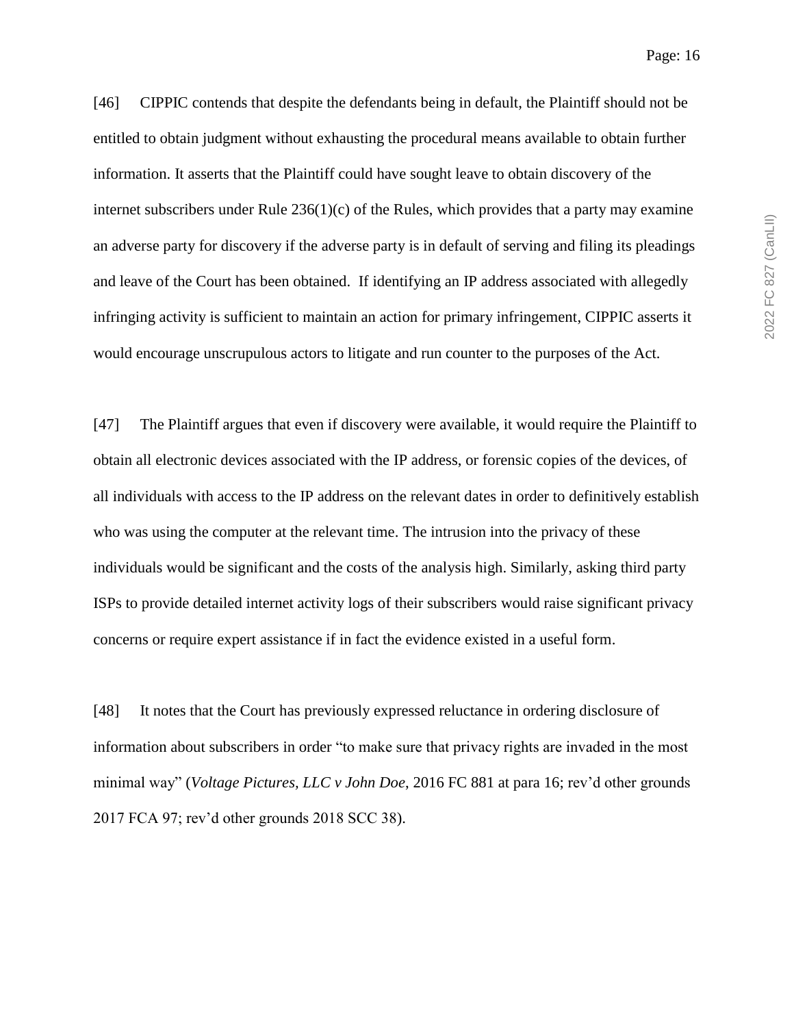[46] CIPPIC contends that despite the defendants being in default, the Plaintiff should not be entitled to obtain judgment without exhausting the procedural means available to obtain further information. It asserts that the Plaintiff could have sought leave to obtain discovery of the internet subscribers under Rule  $236(1)(c)$  of the Rules, which provides that a party may examine an adverse party for discovery if the adverse party is in default of serving and filing its pleadings and leave of the Court has been obtained. If identifying an IP address associated with allegedly infringing activity is sufficient to maintain an action for primary infringement, CIPPIC asserts it would encourage unscrupulous actors to litigate and run counter to the purposes of the Act.

[47] The Plaintiff argues that even if discovery were available, it would require the Plaintiff to obtain all electronic devices associated with the IP address, or forensic copies of the devices, of all individuals with access to the IP address on the relevant dates in order to definitively establish who was using the computer at the relevant time. The intrusion into the privacy of these individuals would be significant and the costs of the analysis high. Similarly, asking third party ISPs to provide detailed internet activity logs of their subscribers would raise significant privacy concerns or require expert assistance if in fact the evidence existed in a useful form.

[48] It notes that the Court has previously expressed reluctance in ordering disclosure of information about subscribers in order "to make sure that privacy rights are invaded in the most minimal way" (*Voltage Pictures, LLC v John Doe*, 2016 FC 881 at para 16; rev'd other grounds 2017 FCA 97; rev'd other grounds 2018 SCC 38).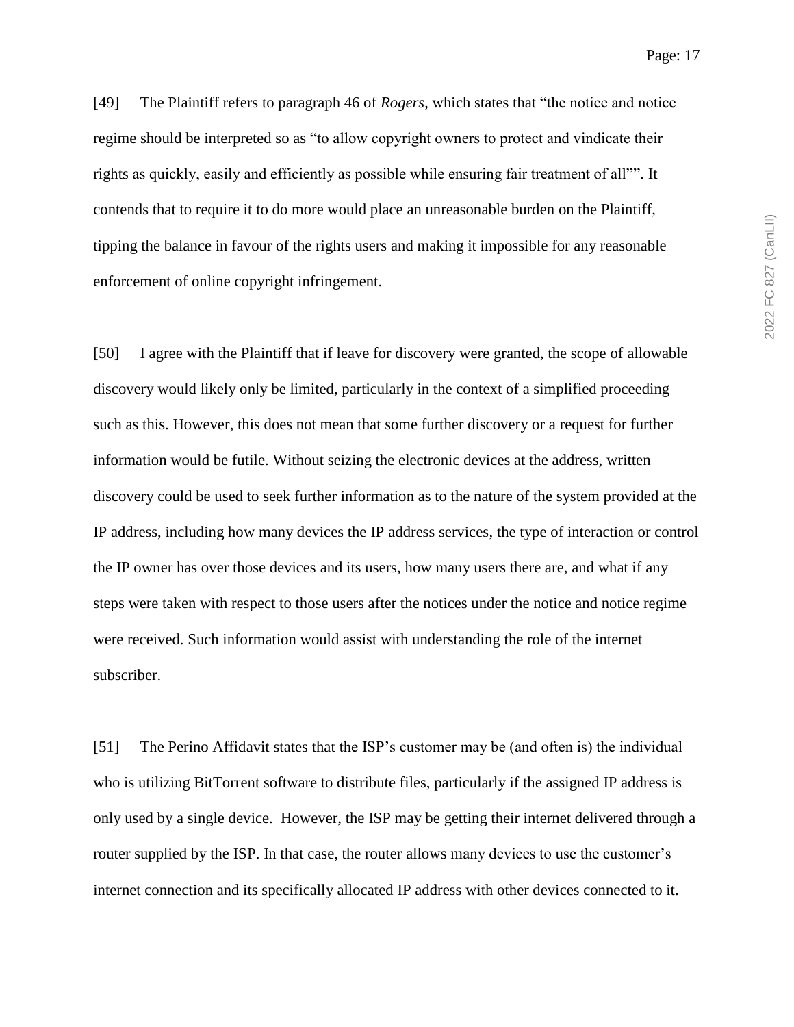[49] The Plaintiff refers to paragraph 46 of *Rogers*, which states that "the notice and notice regime should be interpreted so as "to allow copyright owners to protect and vindicate their rights as quickly, easily and efficiently as possible while ensuring fair treatment of all"". It contends that to require it to do more would place an unreasonable burden on the Plaintiff, tipping the balance in favour of the rights users and making it impossible for any reasonable enforcement of online copyright infringement.

[50] I agree with the Plaintiff that if leave for discovery were granted, the scope of allowable discovery would likely only be limited, particularly in the context of a simplified proceeding such as this. However, this does not mean that some further discovery or a request for further information would be futile. Without seizing the electronic devices at the address, written discovery could be used to seek further information as to the nature of the system provided at the IP address, including how many devices the IP address services, the type of interaction or control the IP owner has over those devices and its users, how many users there are, and what if any steps were taken with respect to those users after the notices under the notice and notice regime were received. Such information would assist with understanding the role of the internet subscriber.

[51] The Perino Affidavit states that the ISP's customer may be (and often is) the individual who is utilizing BitTorrent software to distribute files, particularly if the assigned IP address is only used by a single device. However, the ISP may be getting their internet delivered through a router supplied by the ISP. In that case, the router allows many devices to use the customer's internet connection and its specifically allocated IP address with other devices connected to it.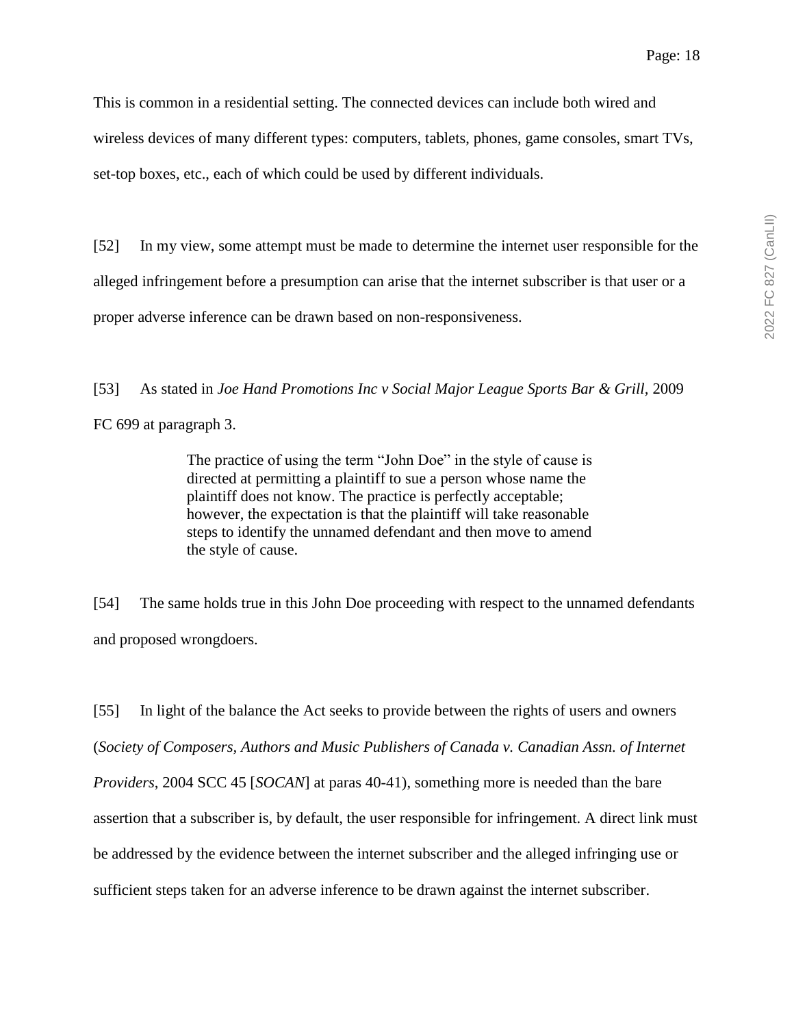This is common in a residential setting. The connected devices can include both wired and wireless devices of many different types: computers, tablets, phones, game consoles, smart TVs, set-top boxes, etc., each of which could be used by different individuals.

[52] In my view, some attempt must be made to determine the internet user responsible for the alleged infringement before a presumption can arise that the internet subscriber is that user or a proper adverse inference can be drawn based on non-responsiveness.

[53] As stated in *Joe Hand Promotions Inc v Social Major League Sports Bar & Grill,* 2009

FC 699 at paragraph 3.

The practice of using the term "John Doe" in the style of cause is directed at permitting a plaintiff to sue a person whose name the plaintiff does not know. The practice is perfectly acceptable; however, the expectation is that the plaintiff will take reasonable steps to identify the unnamed defendant and then move to amend the style of cause.

[54] The same holds true in this John Doe proceeding with respect to the unnamed defendants and proposed wrongdoers.

[55] In light of the balance the Act seeks to provide between the rights of users and owners (*Society of Composers, Authors and Music Publishers of Canada v. Canadian Assn. of Internet Providers*, 2004 SCC 45 [*SOCAN*] at paras 40-41), something more is needed than the bare assertion that a subscriber is, by default, the user responsible for infringement. A direct link must be addressed by the evidence between the internet subscriber and the alleged infringing use or sufficient steps taken for an adverse inference to be drawn against the internet subscriber.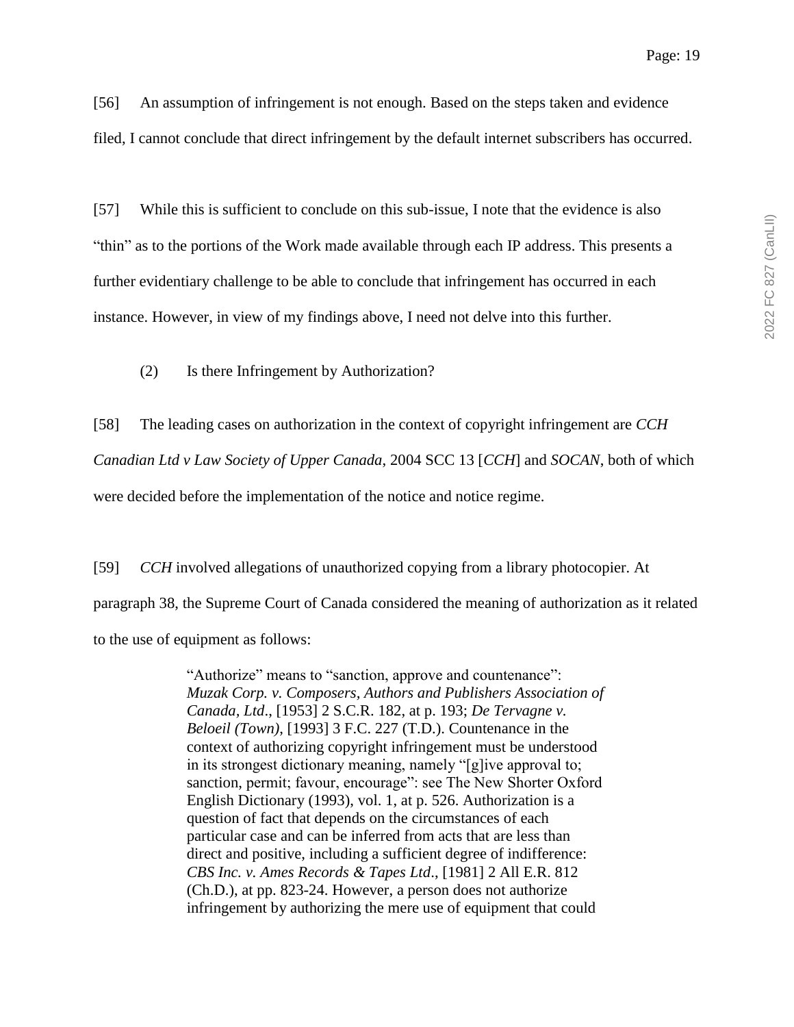[56] An assumption of infringement is not enough. Based on the steps taken and evidence filed, I cannot conclude that direct infringement by the default internet subscribers has occurred.

[57] While this is sufficient to conclude on this sub-issue, I note that the evidence is also "thin" as to the portions of the Work made available through each IP address. This presents a further evidentiary challenge to be able to conclude that infringement has occurred in each instance. However, in view of my findings above, I need not delve into this further.

(2) Is there Infringement by Authorization?

[58] The leading cases on authorization in the context of copyright infringement are *CCH Canadian Ltd v Law Society of Upper Canada*, 2004 SCC 13 [*CCH*] and *SOCAN*, both of which

were decided before the implementation of the notice and notice regime.

[59] *CCH* involved allegations of unauthorized copying from a library photocopier. At paragraph 38, the Supreme Court of Canada considered the meaning of authorization as it related to the use of equipment as follows:

> "Authorize" means to "sanction, approve and countenance": *Muzak Corp. v. Composers, Authors and Publishers Association of Canada, Ltd*., [1953] 2 S.C.R. 182, at p. 193; *De Tervagne v. Beloeil (Town)*, [1993] 3 F.C. 227 (T.D.). Countenance in the context of authorizing copyright infringement must be understood in its strongest dictionary meaning, namely "[g]ive approval to; sanction, permit; favour, encourage": see The New Shorter Oxford English Dictionary (1993), vol. 1, at p. 526. Authorization is a question of fact that depends on the circumstances of each particular case and can be inferred from acts that are less than direct and positive, including a sufficient degree of indifference: *CBS Inc. v. Ames Records & Tapes Ltd*., [1981] 2 All E.R. 812 (Ch.D.), at pp. 823-24. However, a person does not authorize infringement by authorizing the mere use of equipment that could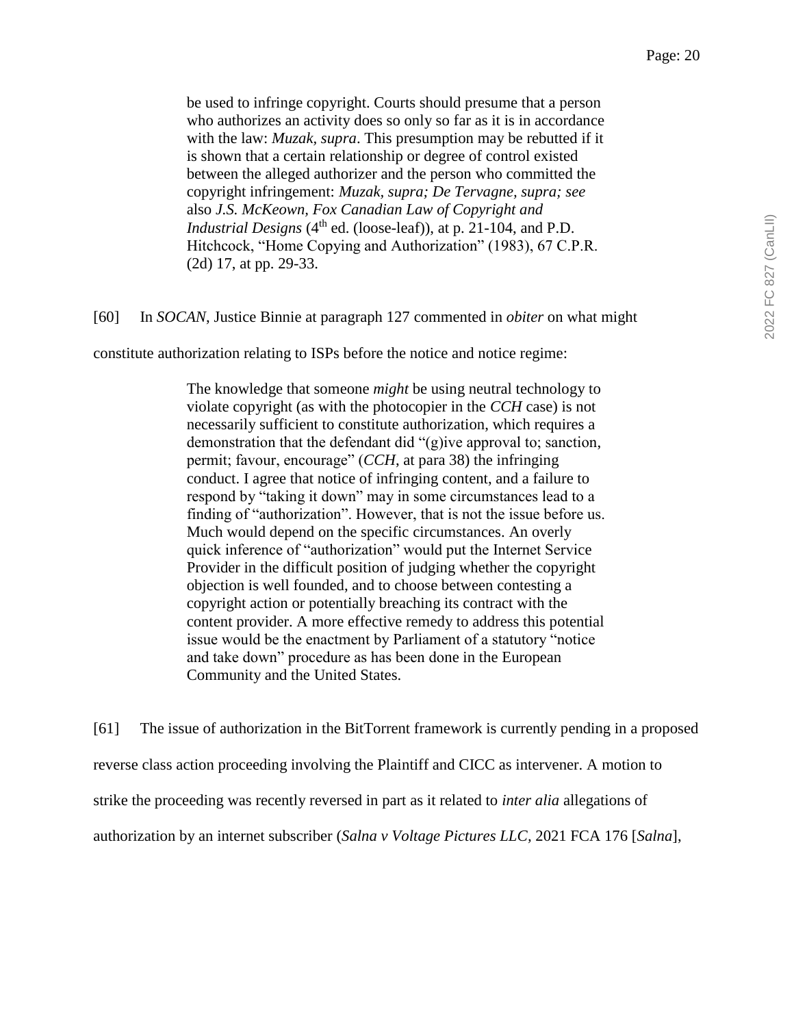be used to infringe copyright. Courts should presume that a person who authorizes an activity does so only so far as it is in accordance with the law: *Muzak, supra*. This presumption may be rebutted if it is shown that a certain relationship or degree of control existed between the alleged authorizer and the person who committed the copyright infringement: *Muzak, supra; De Tervagne, supra; see*  also *J.S. McKeown, Fox Canadian Law of Copyright and Industrial Designs* (4<sup>th</sup> ed. (loose-leaf)), at p. 21-104, and P.D. Hitchcock, "Home Copying and Authorization" (1983), 67 C.P.R. (2d) 17, at pp. 29-33.

[60] In *SOCAN*, Justice Binnie at paragraph 127 commented in *obiter* on what might

constitute authorization relating to ISPs before the notice and notice regime:

The knowledge that someone *might* be using neutral technology to violate copyright (as with the photocopier in the *CCH* case) is not necessarily sufficient to constitute authorization, which requires a demonstration that the defendant did "(g)ive approval to; sanction, permit; favour, encourage" (*CCH*, at para 38) the infringing conduct. I agree that notice of infringing content, and a failure to respond by "taking it down" may in some circumstances lead to a finding of "authorization". However, that is not the issue before us. Much would depend on the specific circumstances. An overly quick inference of "authorization" would put the Internet Service Provider in the difficult position of judging whether the copyright objection is well founded, and to choose between contesting a copyright action or potentially breaching its contract with the content provider. A more effective remedy to address this potential issue would be the enactment by Parliament of a statutory "notice and take down" procedure as has been done in the European Community and the United States.

[61] The issue of authorization in the BitTorrent framework is currently pending in a proposed reverse class action proceeding involving the Plaintiff and CICC as intervener. A motion to strike the proceeding was recently reversed in part as it related to *inter alia* allegations of authorization by an internet subscriber (*Salna v Voltage Pictures LLC,* 2021 FCA 176 [*Salna*],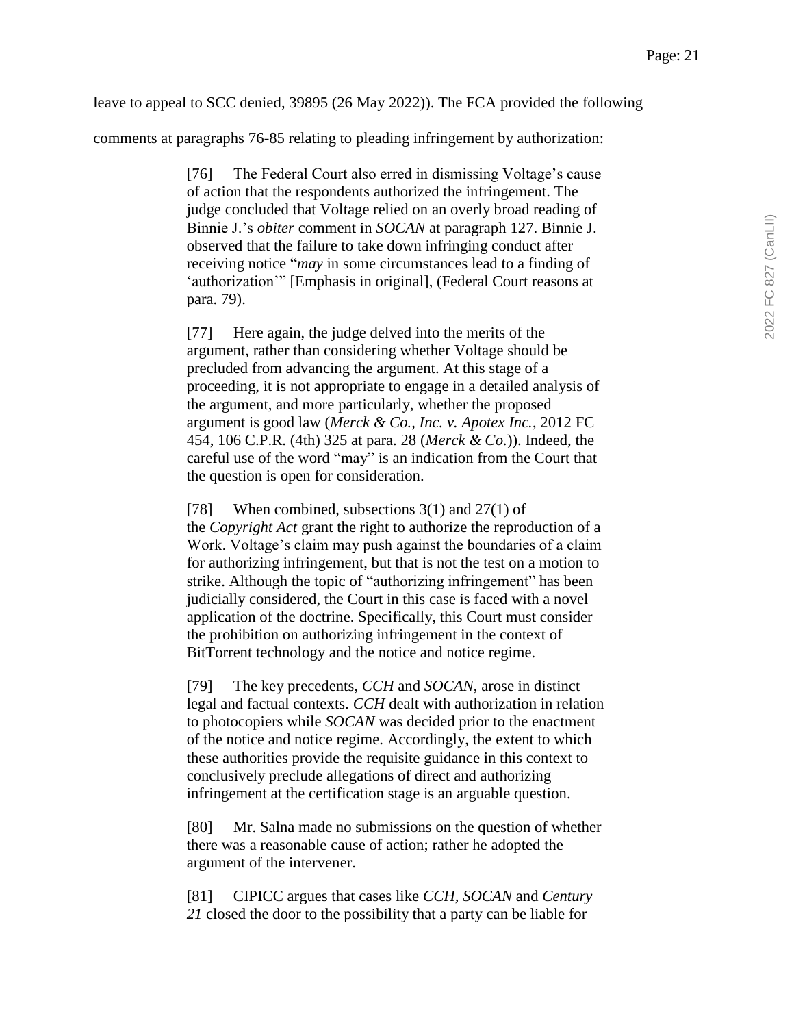#### leave to appeal to SCC denied, 39895 (26 May 2022)). The FCA provided the following

comments at paragraphs 76-85 relating to pleading infringement by authorization:

[76] The Federal Court also erred in dismissing Voltage's cause of action that the respondents authorized the infringement. The judge concluded that Voltage relied on an overly broad reading of Binnie J.'s *obiter* comment in *SOCAN* at paragraph 127. Binnie J. observed that the failure to take down infringing conduct after receiving notice "*may* in some circumstances lead to a finding of 'authorization'" [Emphasis in original], (Federal Court reasons at para. 79).

[77] Here again, the judge delved into the merits of the argument, rather than considering whether Voltage should be precluded from advancing the argument. At this stage of a proceeding, it is not appropriate to engage in a detailed analysis of the argument, and more particularly, whether the proposed argument is good law (*Merck & Co., Inc. v. Apotex Inc.*, 2012 FC 454, 106 C.P.R. (4th) 325 at para. 28 (*Merck & Co.*)). Indeed, the careful use of the word "may" is an indication from the Court that the question is open for consideration.

[78] When combined, subsections 3(1) and 27(1) of the *Copyright Act* grant the right to authorize the reproduction of a Work. Voltage's claim may push against the boundaries of a claim for authorizing infringement, but that is not the test on a motion to strike. Although the topic of "authorizing infringement" has been judicially considered, the Court in this case is faced with a novel application of the doctrine. Specifically, this Court must consider the prohibition on authorizing infringement in the context of BitTorrent technology and the notice and notice regime.

[79] The key precedents, *CCH* and *SOCAN*, arose in distinct legal and factual contexts. *CCH* dealt with authorization in relation to photocopiers while *SOCAN* was decided prior to the enactment of the notice and notice regime. Accordingly, the extent to which these authorities provide the requisite guidance in this context to conclusively preclude allegations of direct and authorizing infringement at the certification stage is an arguable question.

[80] Mr. Salna made no submissions on the question of whether there was a reasonable cause of action; rather he adopted the argument of the intervener.

[81] CIPICC argues that cases like *CCH, SOCAN* and *Century 21* closed the door to the possibility that a party can be liable for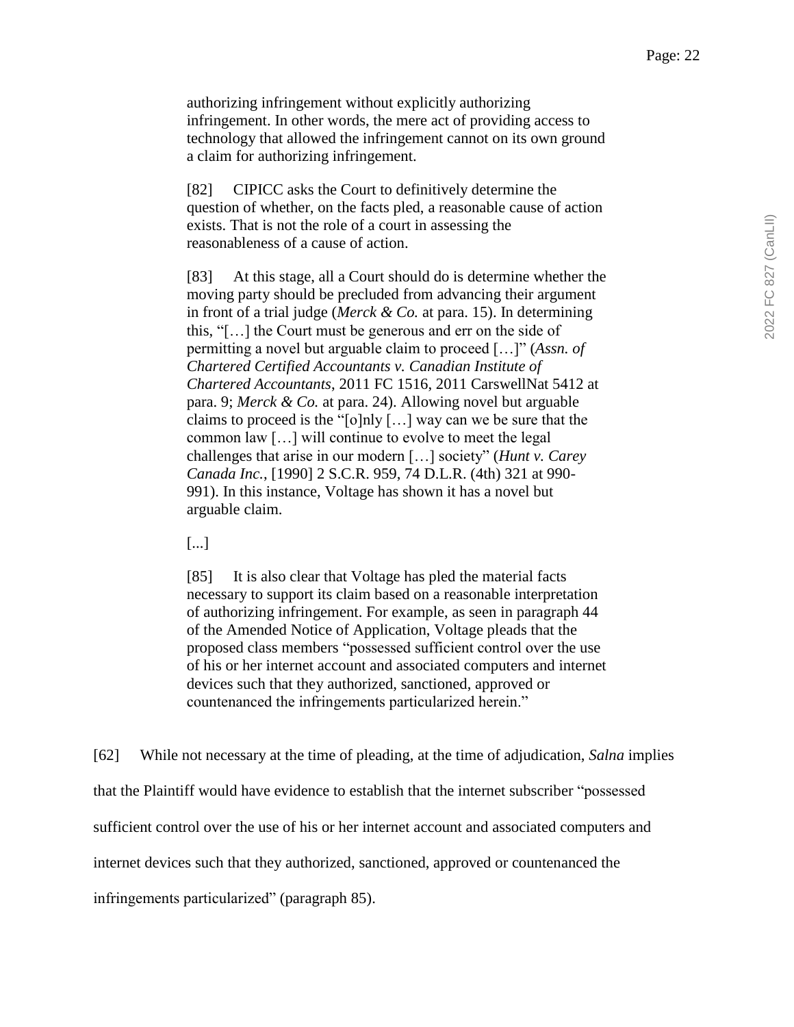authorizing infringement without explicitly authorizing infringement. In other words, the mere act of providing access to technology that allowed the infringement cannot on its own ground a claim for authorizing infringement.

[82] CIPICC asks the Court to definitively determine the question of whether, on the facts pled, a reasonable cause of action exists. That is not the role of a court in assessing the reasonableness of a cause of action.

[83] At this stage, all a Court should do is determine whether the moving party should be precluded from advancing their argument in front of a trial judge (*Merck & Co.* at para. 15). In determining this, "[…] the Court must be generous and err on the side of permitting a novel but arguable claim to proceed […]" (*Assn. of Chartered Certified Accountants v. Canadian Institute of Chartered Accountants*, 2011 FC 1516, 2011 CarswellNat 5412 at para. 9; *Merck & Co.* at para. 24). Allowing novel but arguable claims to proceed is the "[o]nly […] way can we be sure that the common law […] will continue to evolve to meet the legal challenges that arise in our modern […] society" (*Hunt v. Carey Canada Inc.*, [1990] 2 S.C.R. 959, 74 D.L.R. (4th) 321 at 990- 991). In this instance, Voltage has shown it has a novel but arguable claim.

[...]

[85] It is also clear that Voltage has pled the material facts necessary to support its claim based on a reasonable interpretation of authorizing infringement. For example, as seen in paragraph 44 of the Amended Notice of Application, Voltage pleads that the proposed class members "possessed sufficient control over the use of his or her internet account and associated computers and internet devices such that they authorized, sanctioned, approved or countenanced the infringements particularized herein."

[62] While not necessary at the time of pleading, at the time of adjudication, *Salna* implies that the Plaintiff would have evidence to establish that the internet subscriber "possessed sufficient control over the use of his or her internet account and associated computers and internet devices such that they authorized, sanctioned, approved or countenanced the infringements particularized" (paragraph 85).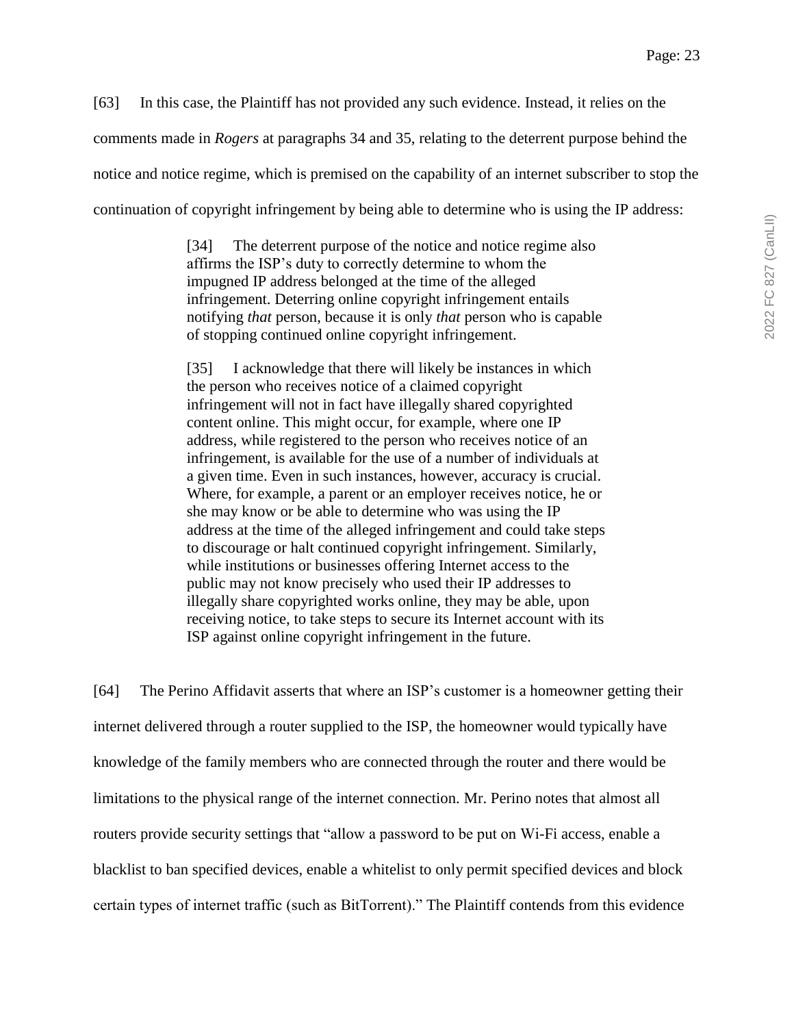[63] In this case, the Plaintiff has not provided any such evidence. Instead, it relies on the comments made in *Rogers* at paragraphs 34 and 35, relating to the deterrent purpose behind the notice and notice regime, which is premised on the capability of an internet subscriber to stop the continuation of copyright infringement by being able to determine who is using the IP address:

> [34] The deterrent purpose of the notice and notice regime also affirms the ISP's duty to correctly determine to whom the impugned IP address belonged at the time of the alleged infringement. Deterring online copyright infringement entails notifying *that* person, because it is only *that* person who is capable of stopping continued online copyright infringement.

> [35] I acknowledge that there will likely be instances in which the person who receives notice of a claimed copyright infringement will not in fact have illegally shared copyrighted content online. This might occur, for example, where one IP address, while registered to the person who receives notice of an infringement, is available for the use of a number of individuals at a given time. Even in such instances, however, accuracy is crucial. Where, for example, a parent or an employer receives notice, he or she may know or be able to determine who was using the IP address at the time of the alleged infringement and could take steps to discourage or halt continued copyright infringement. Similarly, while institutions or businesses offering Internet access to the public may not know precisely who used their IP addresses to illegally share copyrighted works online, they may be able, upon receiving notice, to take steps to secure its Internet account with its ISP against online copyright infringement in the future.

[64] The Perino Affidavit asserts that where an ISP's customer is a homeowner getting their internet delivered through a router supplied to the ISP, the homeowner would typically have knowledge of the family members who are connected through the router and there would be limitations to the physical range of the internet connection. Mr. Perino notes that almost all routers provide security settings that "allow a password to be put on Wi-Fi access, enable a blacklist to ban specified devices, enable a whitelist to only permit specified devices and block certain types of internet traffic (such as BitTorrent)." The Plaintiff contends from this evidence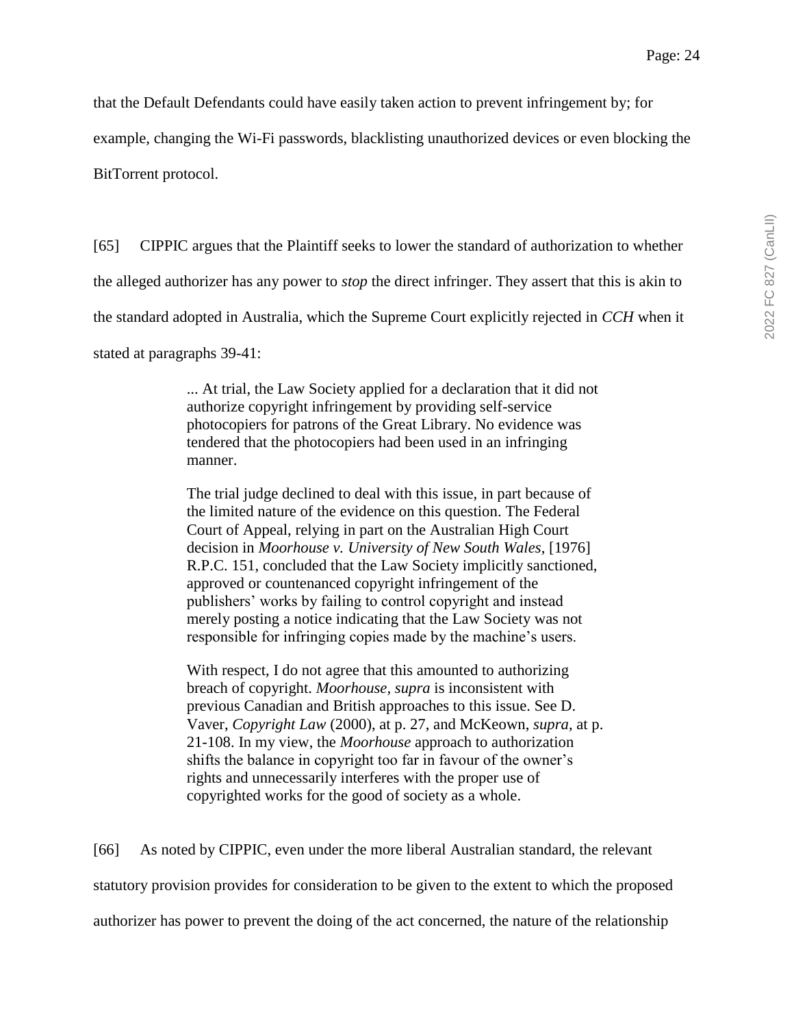that the Default Defendants could have easily taken action to prevent infringement by; for

example, changing the Wi-Fi passwords, blacklisting unauthorized devices or even blocking the

BitTorrent protocol.

[65] CIPPIC argues that the Plaintiff seeks to lower the standard of authorization to whether the alleged authorizer has any power to *stop* the direct infringer. They assert that this is akin to the standard adopted in Australia, which the Supreme Court explicitly rejected in *CCH* when it stated at paragraphs 39-41:

> ... At trial, the Law Society applied for a declaration that it did not authorize copyright infringement by providing self-service photocopiers for patrons of the Great Library. No evidence was tendered that the photocopiers had been used in an infringing manner.

> The trial judge declined to deal with this issue, in part because of the limited nature of the evidence on this question. The Federal Court of Appeal, relying in part on the Australian High Court decision in *Moorhouse v. University of New South Wales*, [1976] R.P.C. 151, concluded that the Law Society implicitly sanctioned, approved or countenanced copyright infringement of the publishers' works by failing to control copyright and instead merely posting a notice indicating that the Law Society was not responsible for infringing copies made by the machine's users.

With respect, I do not agree that this amounted to authorizing breach of copyright. *Moorhouse, supra* is inconsistent with previous Canadian and British approaches to this issue. See D. Vaver, *Copyright Law* (2000), at p. 27, and McKeown, *supra*, at p. 21-108. In my view, the *Moorhouse* approach to authorization shifts the balance in copyright too far in favour of the owner's rights and unnecessarily interferes with the proper use of copyrighted works for the good of society as a whole.

[66] As noted by CIPPIC, even under the more liberal Australian standard, the relevant statutory provision provides for consideration to be given to the extent to which the proposed

authorizer has power to prevent the doing of the act concerned, the nature of the relationship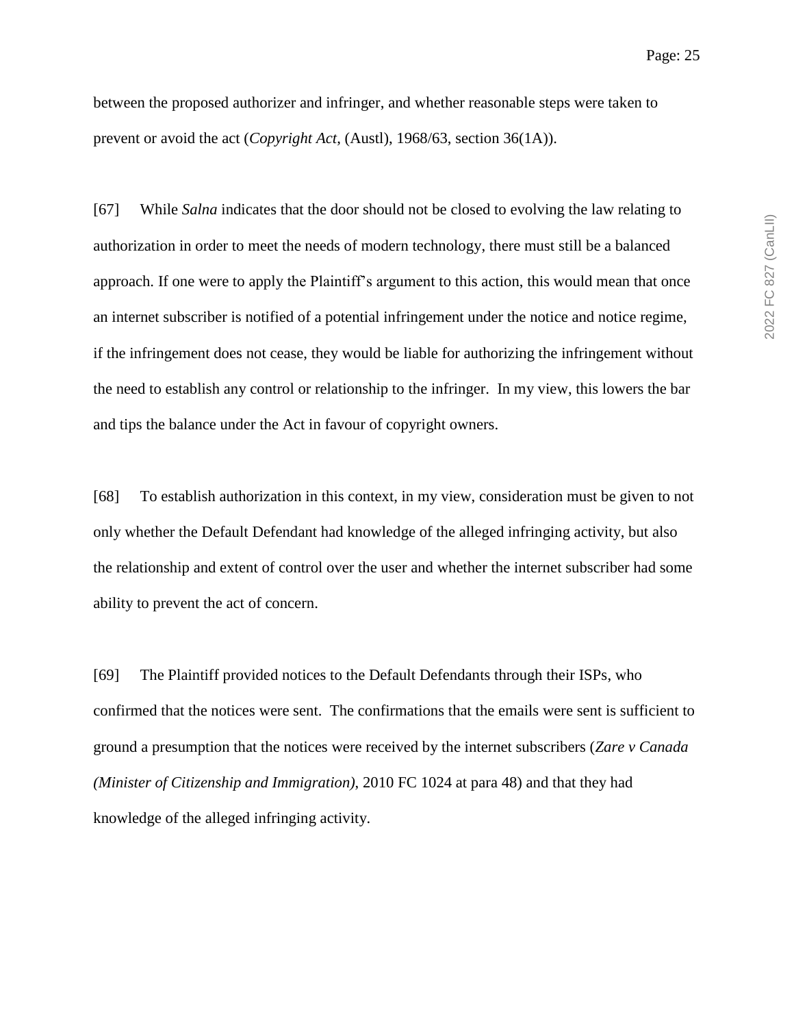between the proposed authorizer and infringer, and whether reasonable steps were taken to prevent or avoid the act (*Copyright Act*, (Austl), 1968/63, section 36(1A)).

[67] While *Salna* indicates that the door should not be closed to evolving the law relating to authorization in order to meet the needs of modern technology, there must still be a balanced approach. If one were to apply the Plaintiff's argument to this action, this would mean that once an internet subscriber is notified of a potential infringement under the notice and notice regime, if the infringement does not cease, they would be liable for authorizing the infringement without the need to establish any control or relationship to the infringer. In my view, this lowers the bar and tips the balance under the Act in favour of copyright owners.

[68] To establish authorization in this context, in my view, consideration must be given to not only whether the Default Defendant had knowledge of the alleged infringing activity, but also the relationship and extent of control over the user and whether the internet subscriber had some ability to prevent the act of concern.

[69] The Plaintiff provided notices to the Default Defendants through their ISPs, who confirmed that the notices were sent. The confirmations that the emails were sent is sufficient to ground a presumption that the notices were received by the internet subscribers (*Zare v Canada (Minister of Citizenship and Immigration)*, 2010 FC 1024 at para 48) and that they had knowledge of the alleged infringing activity.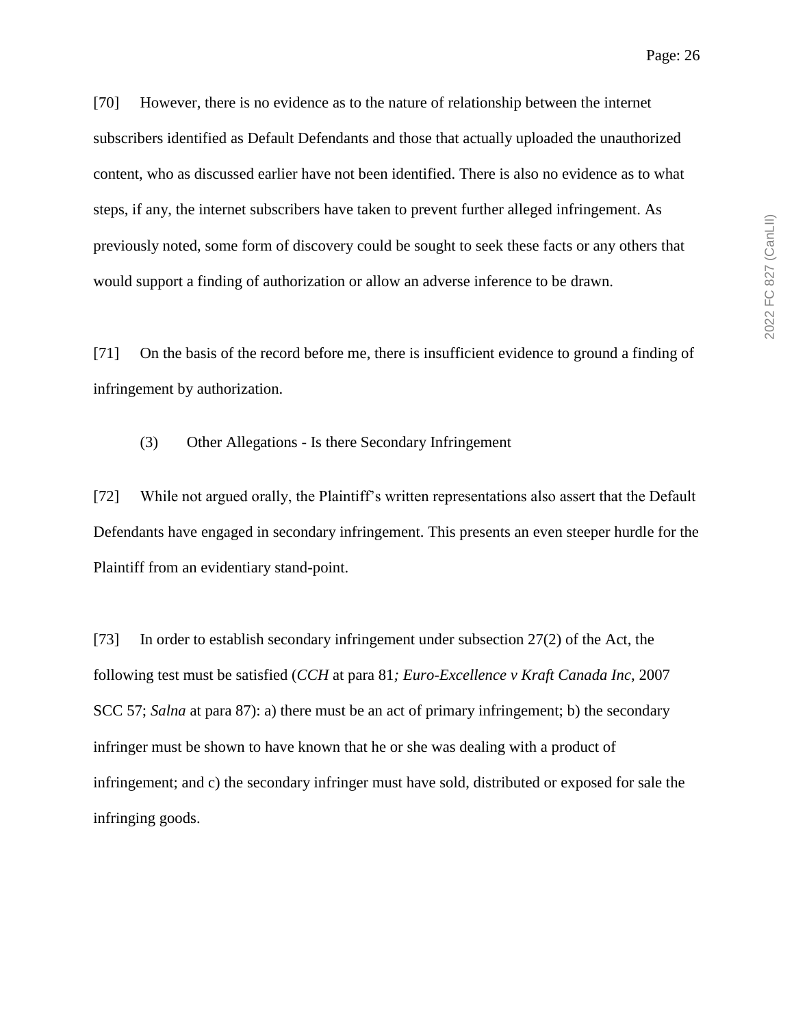[70] However, there is no evidence as to the nature of relationship between the internet subscribers identified as Default Defendants and those that actually uploaded the unauthorized content, who as discussed earlier have not been identified. There is also no evidence as to what steps, if any, the internet subscribers have taken to prevent further alleged infringement. As previously noted, some form of discovery could be sought to seek these facts or any others that would support a finding of authorization or allow an adverse inference to be drawn.

[71] On the basis of the record before me, there is insufficient evidence to ground a finding of infringement by authorization.

#### (3) Other Allegations - Is there Secondary Infringement

[72] While not argued orally, the Plaintiff's written representations also assert that the Default Defendants have engaged in secondary infringement. This presents an even steeper hurdle for the Plaintiff from an evidentiary stand-point.

[73] In order to establish secondary infringement under subsection 27(2) of the Act, the following test must be satisfied (*CCH* at para 81*; Euro-Excellence v Kraft Canada Inc*, 2007 SCC 57; *Salna* at para 87): a) there must be an act of primary infringement; b) the secondary infringer must be shown to have known that he or she was dealing with a product of infringement; and c) the secondary infringer must have sold, distributed or exposed for sale the infringing goods.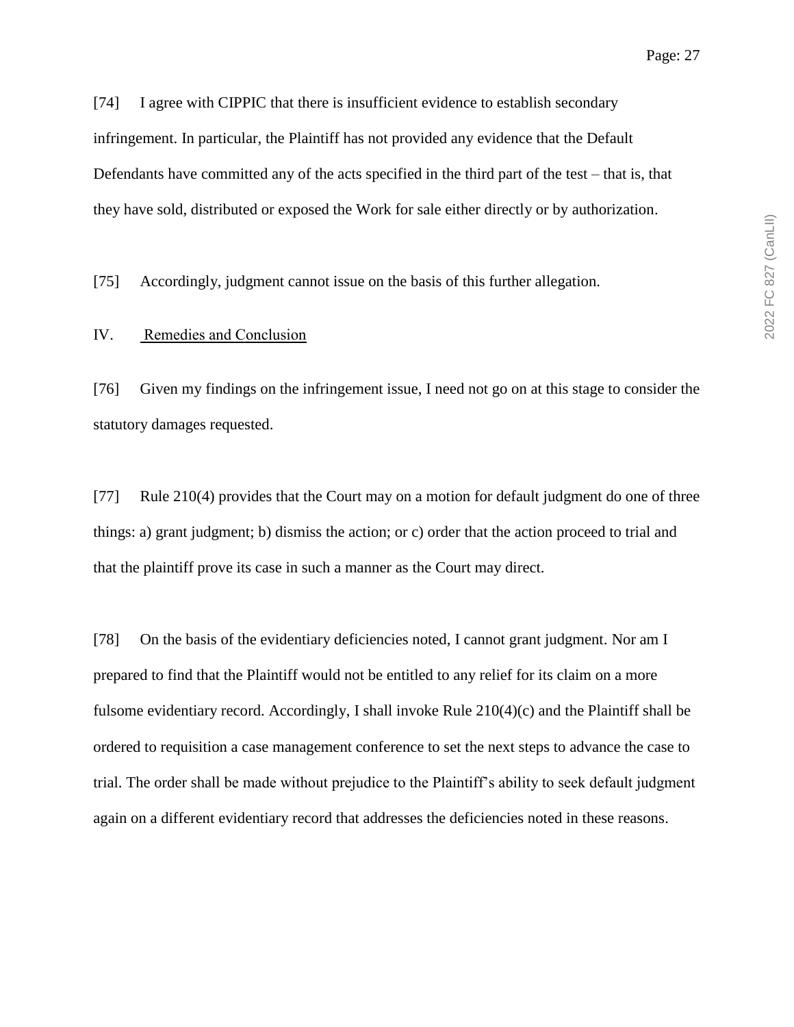Page: 27

infringement. In particular, the Plaintiff has not provided any evidence that the Default Defendants have committed any of the acts specified in the third part of the test – that is, that they have sold, distributed or exposed the Work for sale either directly or by authorization.

[75] Accordingly, judgment cannot issue on the basis of this further allegation.

### IV. Remedies and Conclusion

[76] Given my findings on the infringement issue, I need not go on at this stage to consider the statutory damages requested.

[77] Rule 210(4) provides that the Court may on a motion for default judgment do one of three things: a) grant judgment; b) dismiss the action; or c) order that the action proceed to trial and that the plaintiff prove its case in such a manner as the Court may direct.

[78] On the basis of the evidentiary deficiencies noted, I cannot grant judgment. Nor am I prepared to find that the Plaintiff would not be entitled to any relief for its claim on a more fulsome evidentiary record. Accordingly, I shall invoke Rule 210(4)(c) and the Plaintiff shall be ordered to requisition a case management conference to set the next steps to advance the case to trial. The order shall be made without prejudice to the Plaintiff's ability to seek default judgment again on a different evidentiary record that addresses the deficiencies noted in these reasons.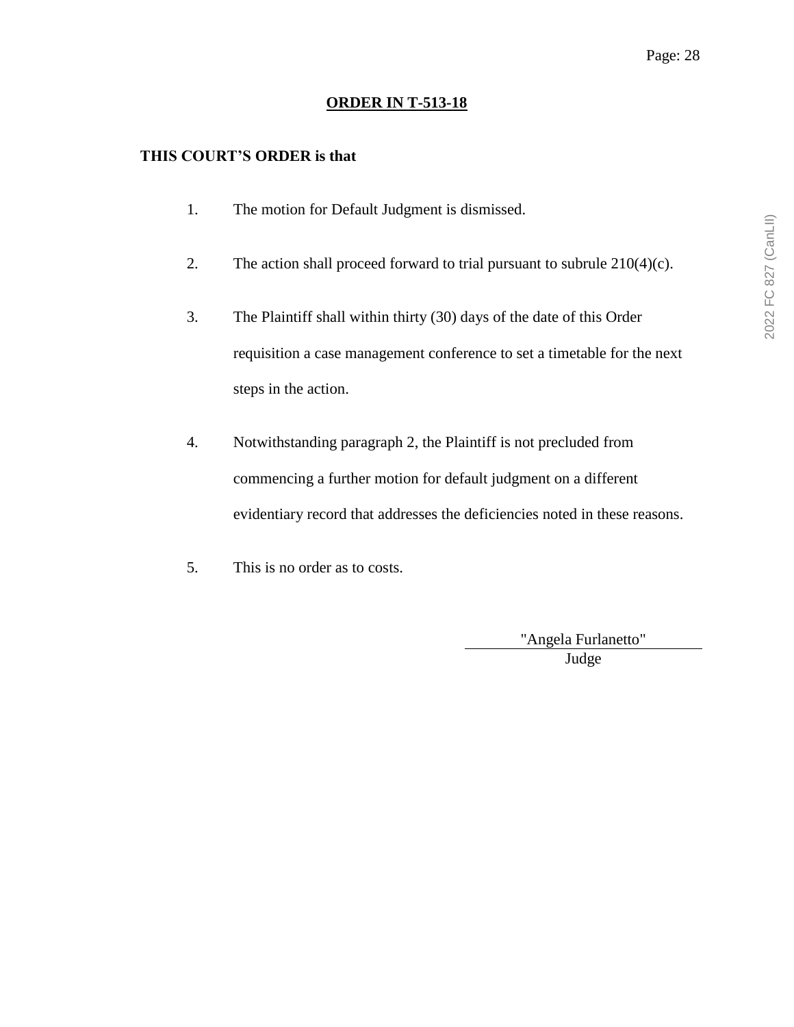#### **ORDER IN T-513-18**

## **THIS COURT'S ORDER is that**

- 1. The motion for Default Judgment is dismissed.
- 2. The action shall proceed forward to trial pursuant to subrule  $210(4)(c)$ .
- 3. The Plaintiff shall within thirty (30) days of the date of this Order requisition a case management conference to set a timetable for the next steps in the action.
- 4. Notwithstanding paragraph 2, the Plaintiff is not precluded from commencing a further motion for default judgment on a different evidentiary record that addresses the deficiencies noted in these reasons.
- 5. This is no order as to costs.

"Angela Furlanetto" Judge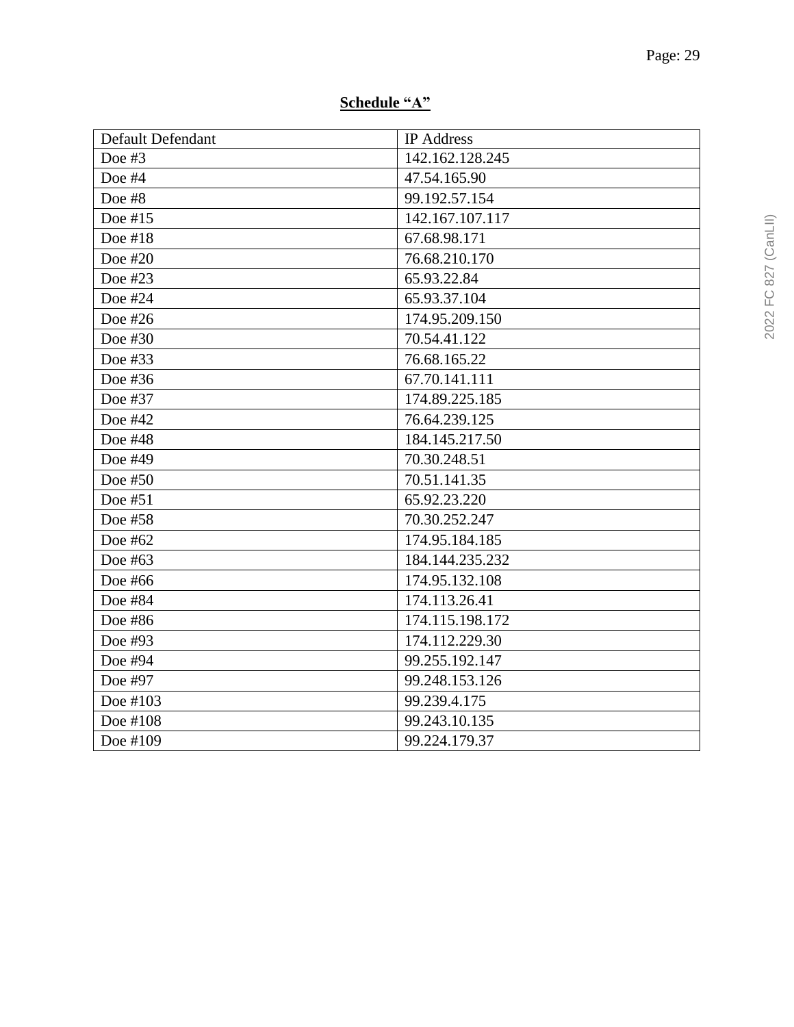#### **Schedule "A "**

| Default Defendant | IP Address      |
|-------------------|-----------------|
| Doe #3            | 142.162.128.245 |
| Doe #4            | 47.54.165.90    |
| Doe #8            | 99.192.57.154   |
| Doe $#15$         | 142.167.107.117 |
| Doe #18           | 67.68.98.171    |
| Doe #20           | 76.68.210.170   |
| Doe #23           | 65.93.22.84     |
| Doe #24           | 65.93.37.104    |
| Doe #26           | 174.95.209.150  |
| Doe #30           | 70.54.41.122    |
| Doe #33           | 76.68.165.22    |
| Doe #36           | 67.70.141.111   |
| Doe #37           | 174.89.225.185  |
| Doe #42           | 76.64.239.125   |
| Doe #48           | 184.145.217.50  |
| Doe #49           | 70.30.248.51    |
| Doe #50           | 70.51.141.35    |
| Doe #51           | 65.92.23.220    |
| Doe #58           | 70.30.252.247   |
| Doe #62           | 174.95.184.185  |
| Doe #63           | 184.144.235.232 |
| Doe #66           | 174.95.132.108  |
| Doe #84           | 174.113.26.41   |
| Doe #86           | 174.115.198.172 |
| Doe #93           | 174.112.229.30  |
| Doe #94           | 99.255.192.147  |
| Doe #97           | 99.248.153.126  |
| Doe #103          | 99.239.4.175    |
| Doe #108          | 99.243.10.135   |
| Doe #109          | 99.224.179.37   |